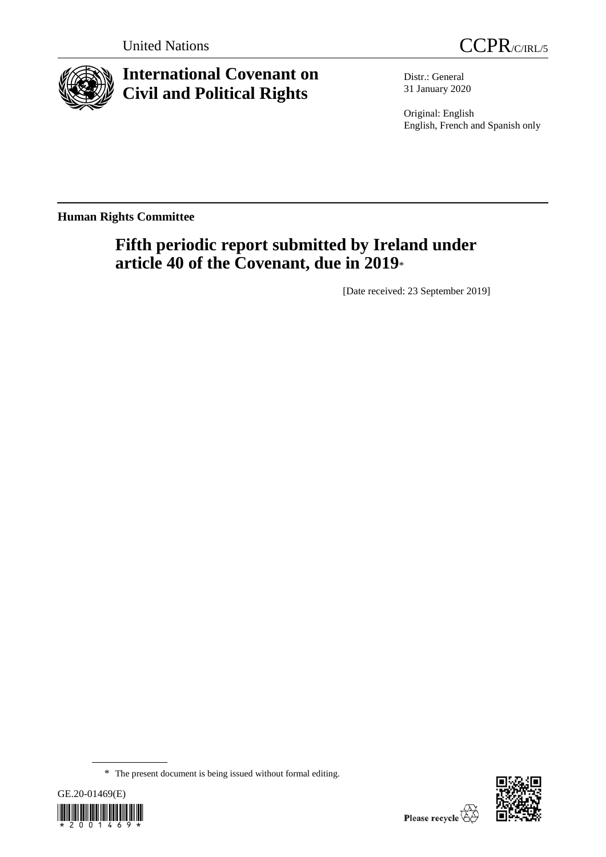



# **International Covenant on Civil and Political Rights**

Distr.: General 31 January 2020

Original: English English, French and Spanish only

**Human Rights Committee**

# **Fifth periodic report submitted by Ireland under article 40 of the Covenant, due in 2019**\*

[Date received: 23 September 2019]

<sup>\*</sup> The present document is being issued without formal editing.



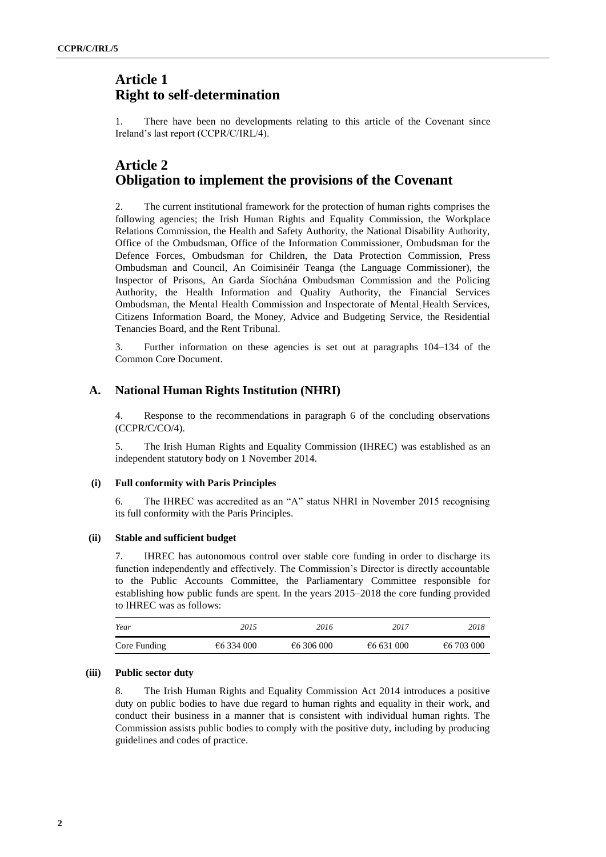## **Article 1 Right to self-determination**

1. There have been no developments relating to this article of the Covenant since Ireland's last report (CCPR/C/IRL/4).

## **Article 2 Obligation to implement the provisions of the Covenant**

2. The current institutional framework for the protection of human rights comprises the following agencies; the Irish Human Rights and Equality Commission, the Workplace Relations Commission, the Health and Safety Authority, the National Disability Authority, Office of the Ombudsman, Office of the Information Commissioner, Ombudsman for the Defence Forces, Ombudsman for Children, the Data Protection Commission, Press Ombudsman and Council, An Coimisinéir Teanga (the Language Commissioner), the Inspector of Prisons, An Garda Síochána Ombudsman Commission and the Policing Authority, the Health Information and Quality Authority, the Financial Services Ombudsman, the Mental Health Commission and Inspectorate of Mental Health Services, Citizens Information Board, the Money, Advice and Budgeting Service, the Residential Tenancies Board, and the Rent Tribunal.

3. Further information on these agencies is set out at paragraphs 104–134 of the Common Core Document.

## **A. National Human Rights Institution (NHRI)**

4. Response to the recommendations in paragraph 6 of the concluding observations (CCPR/C/CO/4).

5. The Irish Human Rights and Equality Commission (IHREC) was established as an independent statutory body on 1 November 2014.

### **(i) Full conformity with Paris Principles**

6. The IHREC was accredited as an "A" status NHRI in November 2015 recognising its full conformity with the Paris Principles.

### **(ii) Stable and sufficient budget**

7. IHREC has autonomous control over stable core funding in order to discharge its function independently and effectively. The Commission's Director is directly accountable to the Public Accounts Committee, the Parliamentary Committee responsible for establishing how public funds are spent. In the years 2015–2018 the core funding provided to IHREC was as follows:

| Year         | 2015       | 2016       | 2017       | 2018       |
|--------------|------------|------------|------------|------------|
| Core Funding | €6 334 000 | €6 306 000 | €6 631 000 | €6 703 000 |

### **(iii) Public sector duty**

8. The Irish Human Rights and Equality Commission Act 2014 introduces a positive duty on public bodies to have due regard to human rights and equality in their work, and conduct their business in a manner that is consistent with individual human rights. The Commission assists public bodies to comply with the positive duty, including by producing guidelines and codes of practice.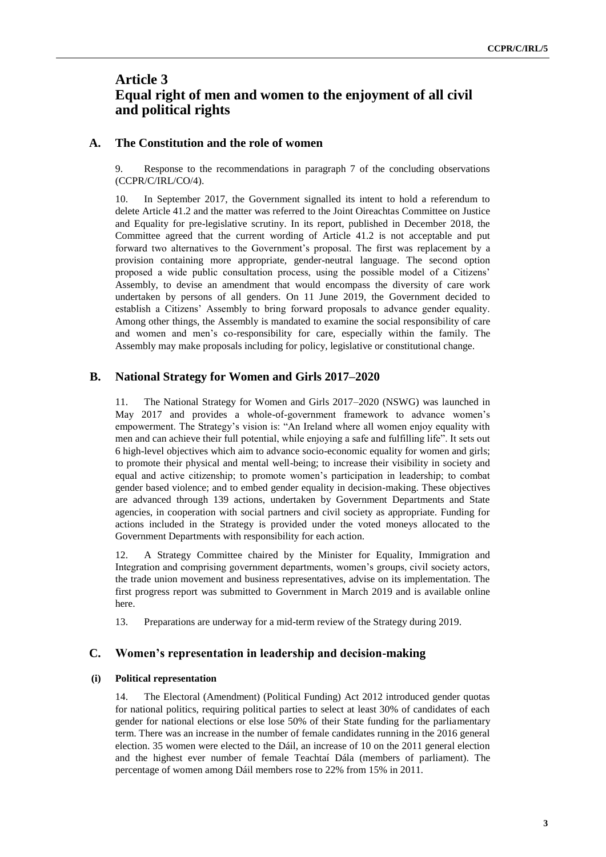## **Article 3 Equal right of men and women to the enjoyment of all civil and political rights**

### **A. The Constitution and the role of women**

9. Response to the recommendations in paragraph 7 of the concluding observations (CCPR/C/IRL/CO/4).

10. In September 2017, the Government signalled its intent to hold a referendum to delete Article 41.2 and the matter was referred to the Joint Oireachtas Committee on Justice and Equality for pre-legislative scrutiny. In its report, published in December 2018, the Committee agreed that the current wording of Article 41.2 is not acceptable and put forward two alternatives to the Government's proposal. The first was replacement by a provision containing more appropriate, gender-neutral language. The second option proposed a wide public consultation process, using the possible model of a Citizens' Assembly, to devise an amendment that would encompass the diversity of care work undertaken by persons of all genders. On 11 June 2019, the Government decided to establish a Citizens' Assembly to bring forward proposals to advance gender equality. Among other things, the Assembly is mandated to examine the social responsibility of care and women and men's co-responsibility for care, especially within the family. The Assembly may make proposals including for policy, legislative or constitutional change.

## **B. National Strategy for Women and Girls 2017–2020**

11. The National Strategy for Women and Girls 2017–2020 (NSWG) was launched in May 2017 and provides a whole-of-government framework to advance women's empowerment. The Strategy's vision is: "An Ireland where all women enjoy equality with men and can achieve their full potential, while enjoying a safe and fulfilling life". It sets out 6 high-level objectives which aim to advance socio-economic equality for women and girls; to promote their physical and mental well-being; to increase their visibility in society and equal and active citizenship; to promote women's participation in leadership; to combat gender based violence; and to embed gender equality in decision-making. These objectives are advanced through 139 actions, undertaken by Government Departments and State agencies, in cooperation with social partners and civil society as appropriate. Funding for actions included in the Strategy is provided under the voted moneys allocated to the Government Departments with responsibility for each action.

12. A Strategy Committee chaired by the Minister for Equality, Immigration and Integration and comprising government departments, women's groups, civil society actors, the trade union movement and business representatives, advise on its implementation. The first progress report was submitted to Government in March 2019 and is available online here.

13. Preparations are underway for a mid-term review of the Strategy during 2019.

## **C. Women's representation in leadership and decision-making**

### **(i) Political representation**

14. The Electoral (Amendment) (Political Funding) Act 2012 introduced gender quotas for national politics, requiring political parties to select at least 30% of candidates of each gender for national elections or else lose 50% of their State funding for the parliamentary term. There was an increase in the number of female candidates running in the 2016 general election. 35 women were elected to the Dáil, an increase of 10 on the 2011 general election and the highest ever number of female Teachtaí Dála (members of parliament). The percentage of women among Dáil members rose to 22% from 15% in 2011.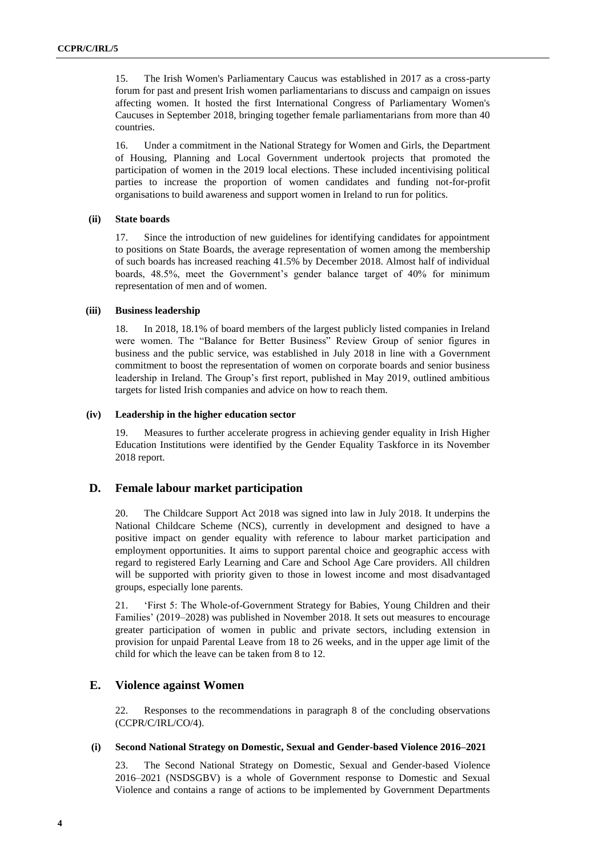15. The Irish Women's Parliamentary Caucus was established in 2017 as a cross-party forum for past and present Irish women parliamentarians to discuss and campaign on issues affecting women. It hosted the first International Congress of Parliamentary Women's Caucuses in September 2018, bringing together female parliamentarians from more than 40 countries.

16. Under a commitment in the National Strategy for Women and Girls, the Department of Housing, Planning and Local Government undertook projects that promoted the participation of women in the 2019 local elections. These included incentivising political parties to increase the proportion of women candidates and funding not-for-profit organisations to build awareness and support women in Ireland to run for politics.

#### **(ii) State boards**

17. Since the introduction of new guidelines for identifying candidates for appointment to positions on State Boards, the average representation of women among the membership of such boards has increased reaching 41.5% by December 2018. Almost half of individual boards, 48.5%, meet the Government's gender balance target of 40% for minimum representation of men and of women.

#### **(iii) Business leadership**

18. In 2018, 18.1% of board members of the largest publicly listed companies in Ireland were women. The "Balance for Better Business" Review Group of senior figures in business and the public service, was established in July 2018 in line with a Government commitment to boost the representation of women on corporate boards and senior business leadership in Ireland. The Group's first report, published in May 2019, outlined ambitious targets for listed Irish companies and advice on how to reach them.

#### **(iv) Leadership in the higher education sector**

19. Measures to further accelerate progress in achieving gender equality in Irish Higher Education Institutions were identified by the Gender Equality Taskforce in its November 2018 report.

## **D. Female labour market participation**

20. The Childcare Support Act 2018 was signed into law in July 2018. It underpins the National Childcare Scheme (NCS), currently in development and designed to have a positive impact on gender equality with reference to labour market participation and employment opportunities. It aims to support parental choice and geographic access with regard to registered Early Learning and Care and School Age Care providers. All children will be supported with priority given to those in lowest income and most disadvantaged groups, especially lone parents.

21. 'First 5: The Whole-of-Government Strategy for Babies, Young Children and their Families' (2019–2028) was published in November 2018. It sets out measures to encourage greater participation of women in public and private sectors, including extension in provision for unpaid Parental Leave from 18 to 26 weeks, and in the upper age limit of the child for which the leave can be taken from 8 to 12.

## **E. Violence against Women**

22. Responses to the recommendations in paragraph 8 of the concluding observations (CCPR/C/IRL/CO/4).

### **(i) Second National Strategy on Domestic, Sexual and Gender-based Violence 2016–2021**

23. The Second National Strategy on Domestic, Sexual and Gender-based Violence 2016–2021 (NSDSGBV) is a whole of Government response to Domestic and Sexual Violence and contains a range of actions to be implemented by Government Departments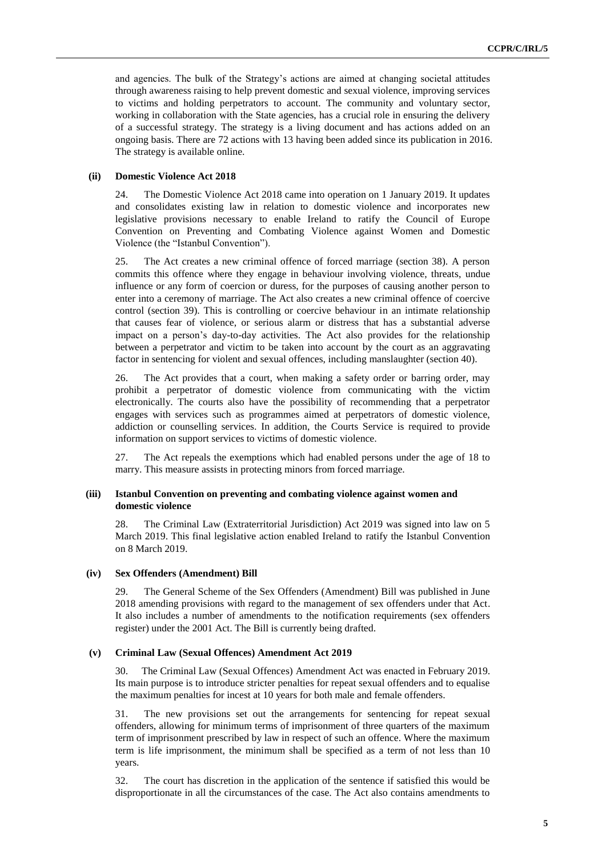and agencies. The bulk of the Strategy's actions are aimed at changing societal attitudes through awareness raising to help prevent domestic and sexual violence, improving services to victims and holding perpetrators to account. The community and voluntary sector, working in collaboration with the State agencies, has a crucial role in ensuring the delivery of a successful strategy. The strategy is a living document and has actions added on an ongoing basis. There are 72 actions with 13 having been added since its publication in 2016. The strategy is available online.

#### **(ii) Domestic Violence Act 2018**

24. The Domestic Violence Act 2018 came into operation on 1 January 2019. It updates and consolidates existing law in relation to domestic violence and incorporates new legislative provisions necessary to enable Ireland to ratify the Council of Europe Convention on Preventing and Combating Violence against Women and Domestic Violence (the "Istanbul Convention").

25. The Act creates a new criminal offence of forced marriage (section 38). A person commits this offence where they engage in behaviour involving violence, threats, undue influence or any form of coercion or duress, for the purposes of causing another person to enter into a ceremony of marriage. The Act also creates a new criminal offence of coercive control (section 39). This is controlling or coercive behaviour in an intimate relationship that causes fear of violence, or serious alarm or distress that has a substantial adverse impact on a person's day-to-day activities. The Act also provides for the relationship between a perpetrator and victim to be taken into account by the court as an aggravating factor in sentencing for violent and sexual offences, including manslaughter (section 40).

26. The Act provides that a court, when making a safety order or barring order, may prohibit a perpetrator of domestic violence from communicating with the victim electronically. The courts also have the possibility of recommending that a perpetrator engages with services such as programmes aimed at perpetrators of domestic violence, addiction or counselling services. In addition, the Courts Service is required to provide information on support services to victims of domestic violence.

27. The Act repeals the exemptions which had enabled persons under the age of 18 to marry. This measure assists in protecting minors from forced marriage.

#### **(iii) Istanbul Convention on preventing and combating violence against women and domestic violence**

28. The Criminal Law (Extraterritorial Jurisdiction) Act 2019 was signed into law on 5 March 2019. This final legislative action enabled Ireland to ratify the Istanbul Convention on 8 March 2019.

#### **(iv) Sex Offenders (Amendment) Bill**

29. The General Scheme of the Sex Offenders (Amendment) Bill was published in June 2018 amending provisions with regard to the management of sex offenders under that Act. It also includes a number of amendments to the notification requirements (sex offenders register) under the 2001 Act. The Bill is currently being drafted.

#### **(v) Criminal Law (Sexual Offences) Amendment Act 2019**

30. The Criminal Law (Sexual Offences) Amendment Act was enacted in February 2019. Its main purpose is to introduce stricter penalties for repeat sexual offenders and to equalise the maximum penalties for incest at 10 years for both male and female offenders.

31. The new provisions set out the arrangements for sentencing for repeat sexual offenders, allowing for minimum terms of imprisonment of three quarters of the maximum term of imprisonment prescribed by law in respect of such an offence. Where the maximum term is life imprisonment, the minimum shall be specified as a term of not less than 10 years.

32. The court has discretion in the application of the sentence if satisfied this would be disproportionate in all the circumstances of the case. The Act also contains amendments to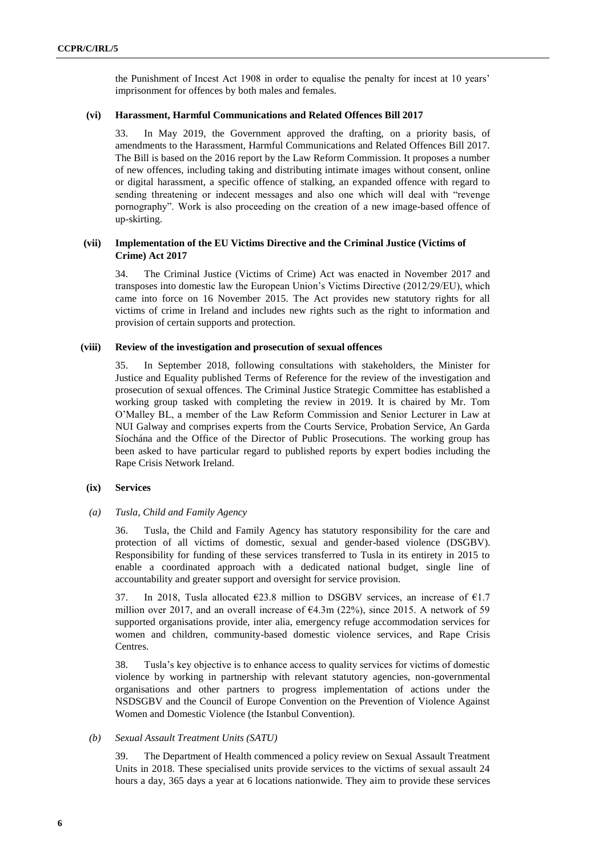the Punishment of Incest Act 1908 in order to equalise the penalty for incest at 10 years' imprisonment for offences by both males and females.

#### **(vi) Harassment, Harmful Communications and Related Offences Bill 2017**

33. In May 2019, the Government approved the drafting, on a priority basis, of amendments to the Harassment, Harmful Communications and Related Offences Bill 2017. The Bill is based on the 2016 report by the Law Reform Commission. It proposes a number of new offences, including taking and distributing intimate images without consent, online or digital harassment, a specific offence of stalking, an expanded offence with regard to sending threatening or indecent messages and also one which will deal with "revenge pornography". Work is also proceeding on the creation of a new image-based offence of up-skirting.

### **(vii) Implementation of the EU Victims Directive and the Criminal Justice (Victims of Crime) Act 2017**

34. The Criminal Justice (Victims of Crime) Act was enacted in November 2017 and transposes into domestic law the European Union's Victims Directive (2012/29/EU), which came into force on 16 November 2015. The Act provides new statutory rights for all victims of crime in Ireland and includes new rights such as the right to information and provision of certain supports and protection.

#### **(viii) Review of the investigation and prosecution of sexual offences**

35. In September 2018, following consultations with stakeholders, the Minister for Justice and Equality published Terms of Reference for the review of the investigation and prosecution of sexual offences. The Criminal Justice Strategic Committee has established a working group tasked with completing the review in 2019. It is chaired by Mr. Tom O'Malley BL, a member of the Law Reform Commission and Senior Lecturer in Law at NUI Galway and comprises experts from the Courts Service, Probation Service, An Garda Síochána and the Office of the Director of Public Prosecutions. The working group has been asked to have particular regard to published reports by expert bodies including the Rape Crisis Network Ireland.

#### **(ix) Services**

#### *(a) Tusla, Child and Family Agency*

36. Tusla, the Child and Family Agency has statutory responsibility for the care and protection of all victims of domestic, sexual and gender-based violence (DSGBV). Responsibility for funding of these services transferred to Tusla in its entirety in 2015 to enable a coordinated approach with a dedicated national budget, single line of accountability and greater support and oversight for service provision.

37. In 2018, Tusla allocated  $\epsilon$ 23.8 million to DSGBV services, an increase of  $\epsilon$ 1.7 million over 2017, and an overall increase of  $64.3m$  (22%), since 2015. A network of 59 supported organisations provide, inter alia, emergency refuge accommodation services for women and children, community-based domestic violence services, and Rape Crisis Centres.

38. Tusla's key objective is to enhance access to quality services for victims of domestic violence by working in partnership with relevant statutory agencies, non-governmental organisations and other partners to progress implementation of actions under the NSDSGBV and the Council of Europe Convention on the Prevention of Violence Against Women and Domestic Violence (the Istanbul Convention).

#### *(b) Sexual Assault Treatment Units (SATU)*

39. The Department of Health commenced a policy review on Sexual Assault Treatment Units in 2018. These specialised units provide services to the victims of sexual assault 24 hours a day, 365 days a year at 6 locations nationwide. They aim to provide these services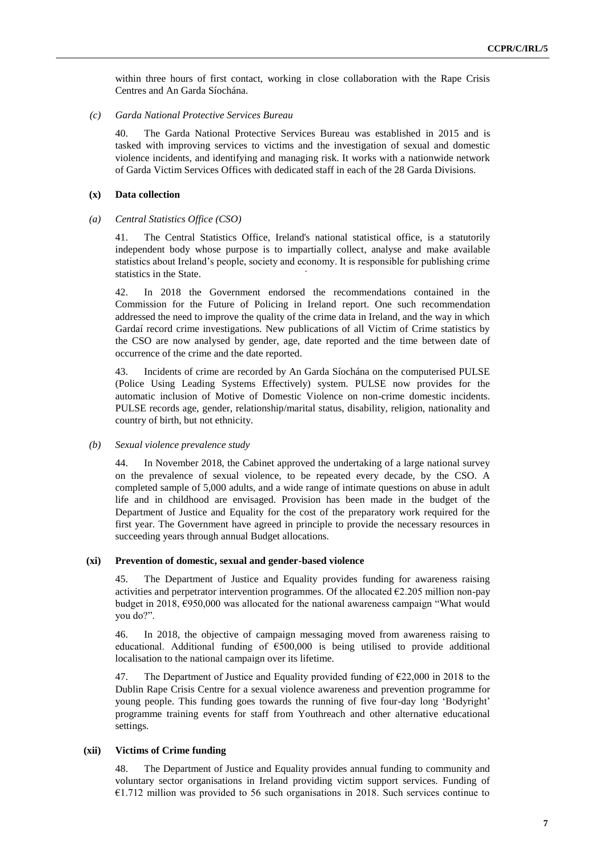within three hours of first contact, working in close collaboration with the Rape Crisis Centres and An Garda Síochána.

#### *(c) Garda National Protective Services Bureau*

40. The Garda National Protective Services Bureau was established in 2015 and is tasked with improving services to victims and the investigation of sexual and domestic violence incidents, and identifying and managing risk. It works with a nationwide network of Garda Victim Services Offices with dedicated staff in each of the 28 Garda Divisions.

#### **(x) Data collection**

#### *(a) Central Statistics Office (CSO)*

41. The Central Statistics Office, Ireland's national statistical office, is a statutorily independent body whose purpose is to impartially collect, analyse and make available statistics about Ireland's people, society and economy. It is responsible for publishing crime statistics in the State.

42. In 2018 the Government endorsed the recommendations contained in the Commission for the Future of Policing in Ireland report. One such recommendation addressed the need to improve the quality of the crime data in Ireland, and the way in which Gardaí record crime investigations. New publications of all Victim of Crime statistics by the CSO are now analysed by gender, age, date reported and the time between date of occurrence of the crime and the date reported.

43. Incidents of crime are recorded by An Garda Síochána on the computerised PULSE (Police Using Leading Systems Effectively) system. PULSE now provides for the automatic inclusion of Motive of Domestic Violence on non-crime domestic incidents. PULSE records age, gender, relationship/marital status, disability, religion, nationality and country of birth, but not ethnicity.

#### *(b) Sexual violence prevalence study*

44. In November 2018, the Cabinet approved the undertaking of a large national survey on the prevalence of sexual violence, to be repeated every decade, by the CSO. A completed sample of 5,000 adults, and a wide range of intimate questions on abuse in adult life and in childhood are envisaged. Provision has been made in the budget of the Department of Justice and Equality for the cost of the preparatory work required for the first year. The Government have agreed in principle to provide the necessary resources in succeeding years through annual Budget allocations.

#### **(xi) Prevention of domestic, sexual and gender-based violence**

45. The Department of Justice and Equality provides funding for awareness raising activities and perpetrator intervention programmes. Of the allocated  $\epsilon$ 2.205 million non-pay budget in 2018, €950,000 was allocated for the national awareness campaign "What would you do?".

46. In 2018, the objective of campaign messaging moved from awareness raising to educational. Additional funding of €500,000 is being utilised to provide additional localisation to the national campaign over its lifetime.

47. The Department of Justice and Equality provided funding of €22,000 in 2018 to the Dublin Rape Crisis Centre for a sexual violence awareness and prevention programme for young people. This funding goes towards the running of five four-day long 'Bodyright' programme training events for staff from Youthreach and other alternative educational settings.

#### **(xii) Victims of Crime funding**

48. The Department of Justice and Equality provides annual funding to community and voluntary sector organisations in Ireland providing victim support services. Funding of  $\epsilon$ 1.712 million was provided to 56 such organisations in 2018. Such services continue to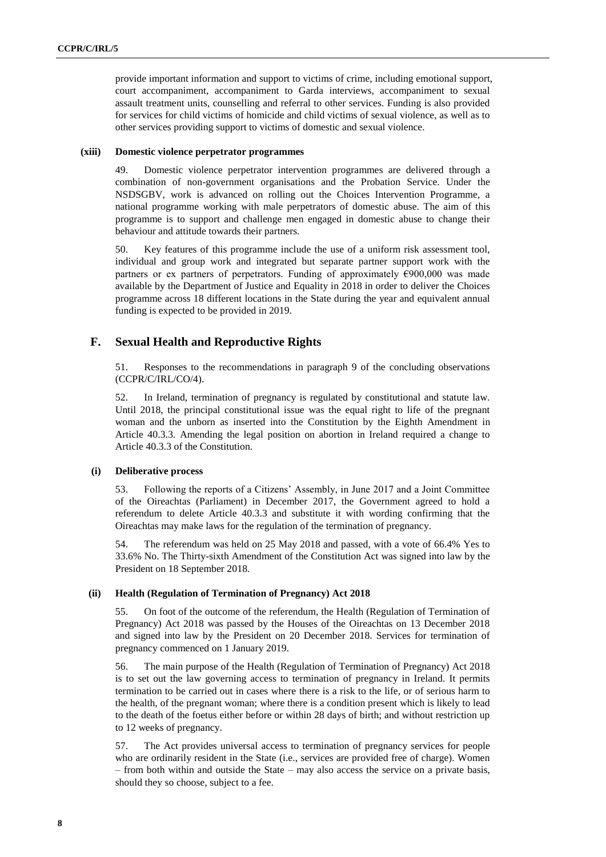provide important information and support to victims of crime, including emotional support, court accompaniment, accompaniment to Garda interviews, accompaniment to sexual assault treatment units, counselling and referral to other services. Funding is also provided for services for child victims of homicide and child victims of sexual violence, as well as to other services providing support to victims of domestic and sexual violence.

#### **(xiii) Domestic violence perpetrator programmes**

49. Domestic violence perpetrator intervention programmes are delivered through a combination of non-government organisations and the Probation Service. Under the NSDSGBV, work is advanced on rolling out the Choices Intervention Programme, a national programme working with male perpetrators of domestic abuse. The aim of this programme is to support and challenge men engaged in domestic abuse to change their behaviour and attitude towards their partners.

50. Key features of this programme include the use of a uniform risk assessment tool, individual and group work and integrated but separate partner support work with the partners or ex partners of perpetrators. Funding of approximately  $\epsilon$ 900,000 was made available by the Department of Justice and Equality in 2018 in order to deliver the Choices programme across 18 different locations in the State during the year and equivalent annual funding is expected to be provided in 2019.

## **F. Sexual Health and Reproductive Rights**

51. Responses to the recommendations in paragraph 9 of the concluding observations (CCPR/C/IRL/CO/4).

52. In Ireland, termination of pregnancy is regulated by constitutional and statute law. Until 2018, the principal constitutional issue was the equal right to life of the pregnant woman and the unborn as inserted into the Constitution by the Eighth Amendment in Article 40.3.3. Amending the legal position on abortion in Ireland required a change to Article 40.3.3 of the Constitution.

### **(i) Deliberative process**

53. Following the reports of a Citizens' Assembly, in June 2017 and a Joint Committee of the Oireachtas (Parliament) in December 2017, the Government agreed to hold a referendum to delete Article 40.3.3 and substitute it with wording confirming that the Oireachtas may make laws for the regulation of the termination of pregnancy.

54. The referendum was held on 25 May 2018 and passed, with a vote of 66.4% Yes to 33.6% No. The Thirty-sixth Amendment of the Constitution Act was signed into law by the President on 18 September 2018.

#### **(ii) Health (Regulation of Termination of Pregnancy) Act 2018**

55. On foot of the outcome of the referendum, the Health (Regulation of Termination of Pregnancy) Act 2018 was passed by the Houses of the Oireachtas on 13 December 2018 and signed into law by the President on 20 December 2018. Services for termination of pregnancy commenced on 1 January 2019.

56. The main purpose of the Health (Regulation of Termination of Pregnancy) Act 2018 is to set out the law governing access to termination of pregnancy in Ireland. It permits termination to be carried out in cases where there is a risk to the life, or of serious harm to the health, of the pregnant woman; where there is a condition present which is likely to lead to the death of the foetus either before or within 28 days of birth; and without restriction up to 12 weeks of pregnancy.

57. The Act provides universal access to termination of pregnancy services for people who are ordinarily resident in the State (i.e., services are provided free of charge). Women – from both within and outside the State – may also access the service on a private basis, should they so choose, subject to a fee.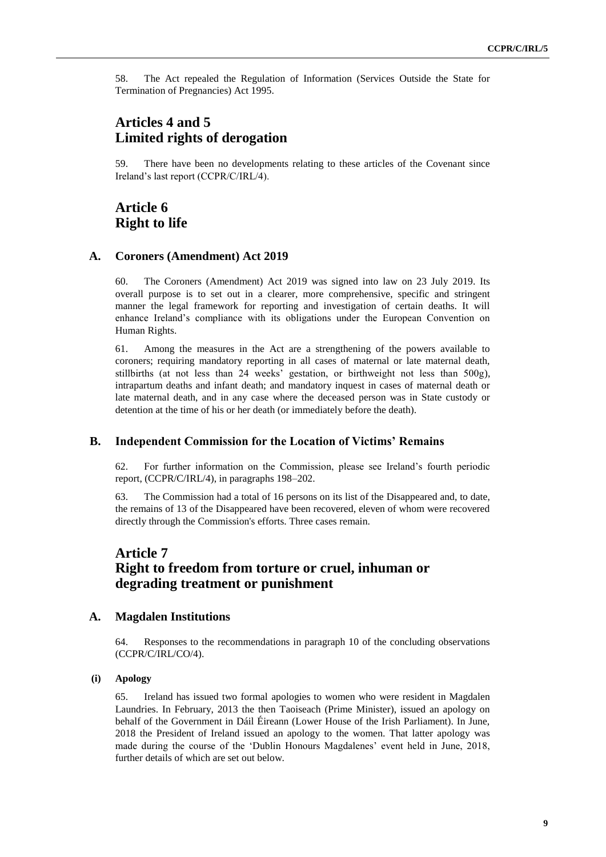58. The Act repealed the Regulation of Information (Services Outside the State for Termination of Pregnancies) Act 1995.

## **Articles 4 and 5 Limited rights of derogation**

59. There have been no developments relating to these articles of the Covenant since Ireland's last report (CCPR/C/IRL/4).

## **Article 6 Right to life**

#### **A. Coroners (Amendment) Act 2019**

60. The Coroners (Amendment) Act 2019 was signed into law on 23 July 2019. Its overall purpose is to set out in a clearer, more comprehensive, specific and stringent manner the legal framework for reporting and investigation of certain deaths. It will enhance Ireland's compliance with its obligations under the European Convention on Human Rights.

61. Among the measures in the Act are a strengthening of the powers available to coroners; requiring mandatory reporting in all cases of maternal or late maternal death, stillbirths (at not less than 24 weeks' gestation, or birthweight not less than 500g), intrapartum deaths and infant death; and mandatory inquest in cases of maternal death or late maternal death, and in any case where the deceased person was in State custody or detention at the time of his or her death (or immediately before the death).

## **B. Independent Commission for the Location of Victims' Remains**

62. For further information on the Commission, please see Ireland's fourth periodic report, (CCPR/C/IRL/4), in paragraphs 198–202.

63. The Commission had a total of 16 persons on its list of the Disappeared and, to date, the remains of 13 of the Disappeared have been recovered, eleven of whom were recovered directly through the Commission's efforts. Three cases remain.

## **Article 7 Right to freedom from torture or cruel, inhuman or degrading treatment or punishment**

#### **A. Magdalen Institutions**

64. Responses to the recommendations in paragraph 10 of the concluding observations (CCPR/C/IRL/CO/4).

#### **(i) Apology**

65. Ireland has issued two formal apologies to women who were resident in Magdalen Laundries. In February, 2013 the then Taoiseach (Prime Minister), issued an apology on behalf of the Government in Dáil Éireann (Lower House of the Irish Parliament). In June, 2018 the President of Ireland issued an apology to the women. That latter apology was made during the course of the 'Dublin Honours Magdalenes' event held in June, 2018, further details of which are set out below.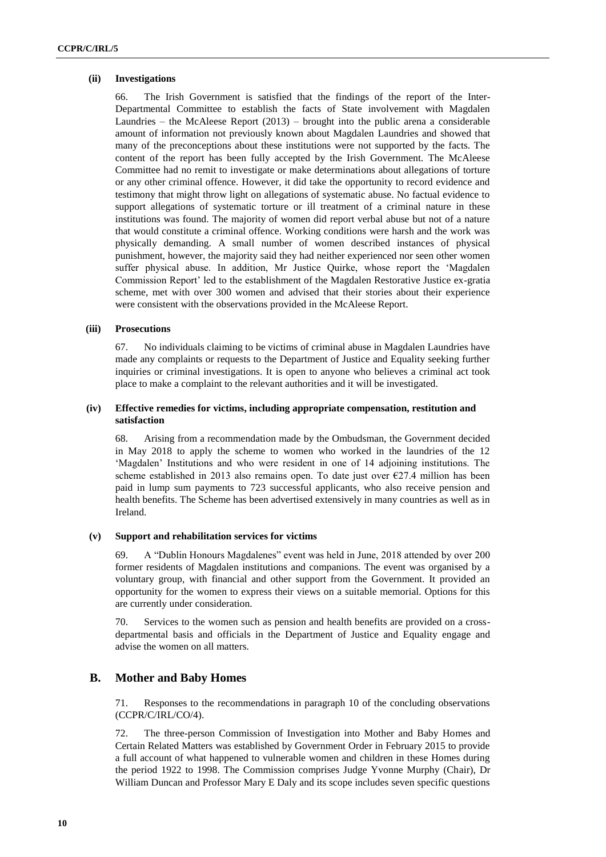#### **(ii) Investigations**

66. The Irish Government is satisfied that the findings of the report of the Inter-Departmental Committee to establish the facts of State involvement with Magdalen Laundries – the McAleese Report  $(2013)$  – brought into the public arena a considerable amount of information not previously known about Magdalen Laundries and showed that many of the preconceptions about these institutions were not supported by the facts. The content of the report has been fully accepted by the Irish Government. The McAleese Committee had no remit to investigate or make determinations about allegations of torture or any other criminal offence. However, it did take the opportunity to record evidence and testimony that might throw light on allegations of systematic abuse. No factual evidence to support allegations of systematic torture or ill treatment of a criminal nature in these institutions was found. The majority of women did report verbal abuse but not of a nature that would constitute a criminal offence. Working conditions were harsh and the work was physically demanding. A small number of women described instances of physical punishment, however, the majority said they had neither experienced nor seen other women suffer physical abuse. In addition, Mr Justice Quirke, whose report the 'Magdalen Commission Report' led to the establishment of the Magdalen Restorative Justice ex-gratia scheme, met with over 300 women and advised that their stories about their experience were consistent with the observations provided in the McAleese Report.

### **(iii) Prosecutions**

67. No individuals claiming to be victims of criminal abuse in Magdalen Laundries have made any complaints or requests to the Department of Justice and Equality seeking further inquiries or criminal investigations. It is open to anyone who believes a criminal act took place to make a complaint to the relevant authorities and it will be investigated.

### **(iv) Effective remedies for victims, including appropriate compensation, restitution and satisfaction**

68. Arising from a recommendation made by the Ombudsman, the Government decided in May 2018 to apply the scheme to women who worked in the laundries of the 12 'Magdalen' Institutions and who were resident in one of 14 adjoining institutions. The scheme established in 2013 also remains open. To date just over  $\epsilon$ 27.4 million has been paid in lump sum payments to 723 successful applicants, who also receive pension and health benefits. The Scheme has been advertised extensively in many countries as well as in Ireland.

### **(v) Support and rehabilitation services for victims**

69. A "Dublin Honours Magdalenes" event was held in June, 2018 attended by over 200 former residents of Magdalen institutions and companions. The event was organised by a voluntary group, with financial and other support from the Government. It provided an opportunity for the women to express their views on a suitable memorial. Options for this are currently under consideration.

70. Services to the women such as pension and health benefits are provided on a crossdepartmental basis and officials in the Department of Justice and Equality engage and advise the women on all matters.

## **B. Mother and Baby Homes**

71. Responses to the recommendations in paragraph 10 of the concluding observations (CCPR/C/IRL/CO/4).

72. The three-person Commission of Investigation into Mother and Baby Homes and Certain Related Matters was established by Government Order in February 2015 to provide a full account of what happened to vulnerable women and children in these Homes during the period 1922 to 1998. The Commission comprises Judge Yvonne Murphy (Chair), Dr William Duncan and Professor Mary E Daly and its scope includes seven specific questions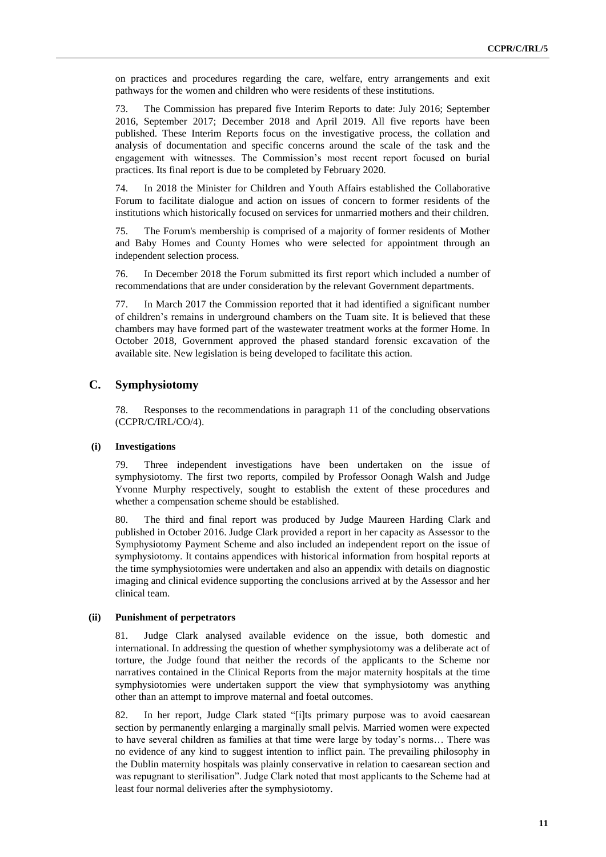on practices and procedures regarding the care, welfare, entry arrangements and exit pathways for the women and children who were residents of these institutions.

73. The Commission has prepared five Interim Reports to date: July 2016; September 2016, September 2017; December 2018 and April 2019. All five reports have been published. These Interim Reports focus on the investigative process, the collation and analysis of documentation and specific concerns around the scale of the task and the engagement with witnesses. The Commission's most recent report focused on burial practices. Its final report is due to be completed by February 2020.

74. In 2018 the Minister for Children and Youth Affairs established the Collaborative Forum to facilitate dialogue and action on issues of concern to former residents of the institutions which historically focused on services for unmarried mothers and their children.

75. The Forum's membership is comprised of a majority of former residents of Mother and Baby Homes and County Homes who were selected for appointment through an independent selection process.

76. In December 2018 the Forum submitted its first report which included a number of recommendations that are under consideration by the relevant Government departments.

77. In March 2017 the Commission reported that it had identified a significant number of children's remains in underground chambers on the Tuam site. It is believed that these chambers may have formed part of the wastewater treatment works at the former Home. In October 2018, Government approved the phased standard forensic excavation of the available site. New legislation is being developed to facilitate this action.

## **C. Symphysiotomy**

78. Responses to the recommendations in paragraph 11 of the concluding observations (CCPR/C/IRL/CO/4).

#### **(i) Investigations**

79. Three independent investigations have been undertaken on the issue of symphysiotomy. The first two reports, compiled by Professor Oonagh Walsh and Judge Yvonne Murphy respectively, sought to establish the extent of these procedures and whether a compensation scheme should be established.

80. The third and final report was produced by Judge Maureen Harding Clark and published in October 2016. Judge Clark provided a report in her capacity as Assessor to the Symphysiotomy Payment Scheme and also included an independent report on the issue of symphysiotomy. It contains appendices with historical information from hospital reports at the time symphysiotomies were undertaken and also an appendix with details on diagnostic imaging and clinical evidence supporting the conclusions arrived at by the Assessor and her clinical team.

#### **(ii) Punishment of perpetrators**

81. Judge Clark analysed available evidence on the issue, both domestic and international. In addressing the question of whether symphysiotomy was a deliberate act of torture, the Judge found that neither the records of the applicants to the Scheme nor narratives contained in the Clinical Reports from the major maternity hospitals at the time symphysiotomies were undertaken support the view that symphysiotomy was anything other than an attempt to improve maternal and foetal outcomes.

82. In her report, Judge Clark stated "[i]ts primary purpose was to avoid caesarean section by permanently enlarging a marginally small pelvis. Married women were expected to have several children as families at that time were large by today's norms… There was no evidence of any kind to suggest intention to inflict pain. The prevailing philosophy in the Dublin maternity hospitals was plainly conservative in relation to caesarean section and was repugnant to sterilisation". Judge Clark noted that most applicants to the Scheme had at least four normal deliveries after the symphysiotomy.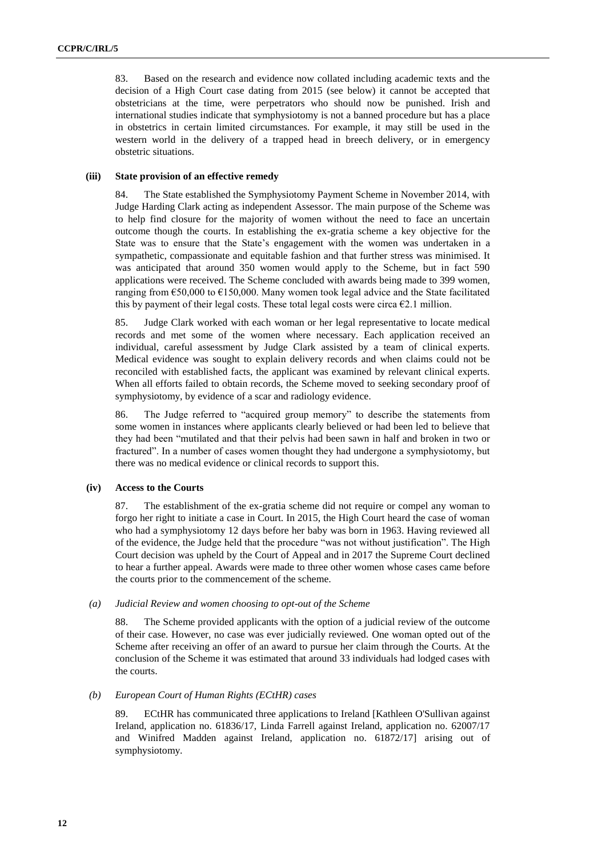83. Based on the research and evidence now collated including academic texts and the decision of a High Court case dating from 2015 (see below) it cannot be accepted that obstetricians at the time, were perpetrators who should now be punished. Irish and international studies indicate that symphysiotomy is not a banned procedure but has a place in obstetrics in certain limited circumstances. For example, it may still be used in the western world in the delivery of a trapped head in breech delivery, or in emergency obstetric situations.

#### **(iii) State provision of an effective remedy**

84. The State established the Symphysiotomy Payment Scheme in November 2014, with Judge Harding Clark acting as independent Assessor. The main purpose of the Scheme was to help find closure for the majority of women without the need to face an uncertain outcome though the courts. In establishing the ex-gratia scheme a key objective for the State was to ensure that the State's engagement with the women was undertaken in a sympathetic, compassionate and equitable fashion and that further stress was minimised. It was anticipated that around 350 women would apply to the Scheme, but in fact 590 applications were received. The Scheme concluded with awards being made to 399 women, ranging from  $\epsilon$ 50,000 to  $\epsilon$ 150,000. Many women took legal advice and the State facilitated this by payment of their legal costs. These total legal costs were circa  $\epsilon$ 2.1 million.

85. Judge Clark worked with each woman or her legal representative to locate medical records and met some of the women where necessary. Each application received an individual, careful assessment by Judge Clark assisted by a team of clinical experts. Medical evidence was sought to explain delivery records and when claims could not be reconciled with established facts, the applicant was examined by relevant clinical experts. When all efforts failed to obtain records, the Scheme moved to seeking secondary proof of symphysiotomy, by evidence of a scar and radiology evidence.

86. The Judge referred to "acquired group memory" to describe the statements from some women in instances where applicants clearly believed or had been led to believe that they had been "mutilated and that their pelvis had been sawn in half and broken in two or fractured". In a number of cases women thought they had undergone a symphysiotomy, but there was no medical evidence or clinical records to support this.

### **(iv) Access to the Courts**

87. The establishment of the ex-gratia scheme did not require or compel any woman to forgo her right to initiate a case in Court. In 2015, the High Court heard the case of woman who had a symphysiotomy 12 days before her baby was born in 1963. Having reviewed all of the evidence, the Judge held that the procedure "was not without justification". The High Court decision was upheld by the Court of Appeal and in 2017 the Supreme Court declined to hear a further appeal. Awards were made to three other women whose cases came before the courts prior to the commencement of the scheme.

#### *(a) Judicial Review and women choosing to opt-out of the Scheme*

88. The Scheme provided applicants with the option of a judicial review of the outcome of their case. However, no case was ever judicially reviewed. One woman opted out of the Scheme after receiving an offer of an award to pursue her claim through the Courts. At the conclusion of the Scheme it was estimated that around 33 individuals had lodged cases with the courts.

#### *(b) European Court of Human Rights (ECtHR) cases*

89. ECtHR has communicated three applications to Ireland [Kathleen O'Sullivan against Ireland, application no. 61836/17, Linda Farrell against Ireland, application no. 62007/17 and Winifred Madden against Ireland, application no. 61872/17] arising out of symphysiotomy.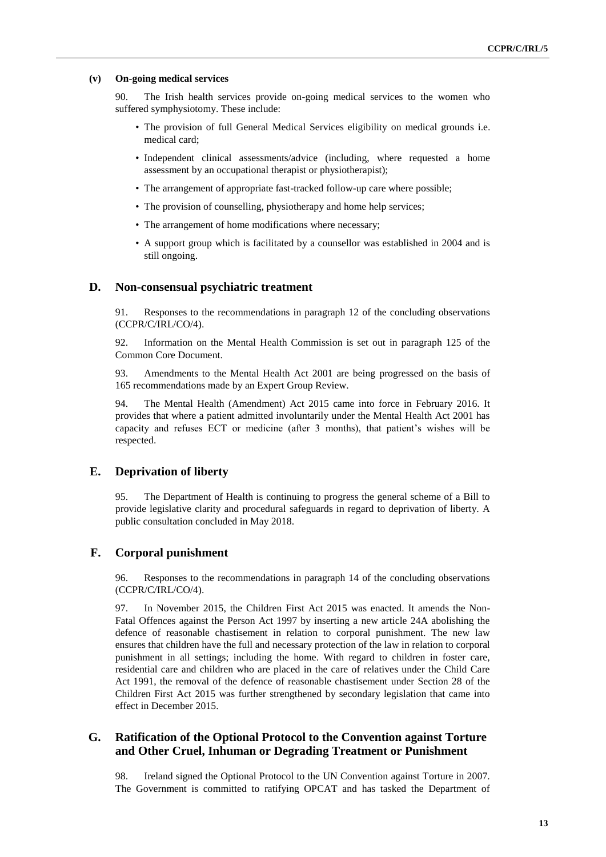#### **(v) On-going medical services**

90. The Irish health services provide on-going medical services to the women who suffered symphysiotomy. These include:

- The provision of full General Medical Services eligibility on medical grounds i.e. medical card;
- Independent clinical assessments/advice (including, where requested a home assessment by an occupational therapist or physiotherapist);
- The arrangement of appropriate fast-tracked follow-up care where possible;
- The provision of counselling, physiotherapy and home help services;
- The arrangement of home modifications where necessary;
- A support group which is facilitated by a counsellor was established in 2004 and is still ongoing.

#### **D. Non-consensual psychiatric treatment**

91. Responses to the recommendations in paragraph 12 of the concluding observations (CCPR/C/IRL/CO/4).

92. Information on the Mental Health Commission is set out in paragraph 125 of the Common Core Document.

93. Amendments to the Mental Health Act 2001 are being progressed on the basis of 165 recommendations made by an Expert Group Review.

94. The Mental Health (Amendment) Act 2015 came into force in February 2016. It provides that where a patient admitted involuntarily under the Mental Health Act 2001 has capacity and refuses ECT or medicine (after 3 months), that patient's wishes will be respected.

#### **E. Deprivation of liberty**

95. The Department of Health is continuing to progress the general scheme of a Bill to provide legislative clarity and procedural safeguards in regard to deprivation of liberty. A public consultation concluded in May 2018.

## **F. Corporal punishment**

96. Responses to the recommendations in paragraph 14 of the concluding observations (CCPR/C/IRL/CO/4).

97. In November 2015, the Children First Act 2015 was enacted. It amends the Non-Fatal Offences against the Person Act 1997 by inserting a new article 24A abolishing the defence of reasonable chastisement in relation to corporal punishment. The new law ensures that children have the full and necessary protection of the law in relation to corporal punishment in all settings; including the home. With regard to children in foster care, residential care and children who are placed in the care of relatives under the Child Care Act 1991, the removal of the defence of reasonable chastisement under Section 28 of the Children First Act 2015 was further strengthened by secondary legislation that came into effect in December 2015.

### **G. Ratification of the Optional Protocol to the Convention against Torture and Other Cruel, Inhuman or Degrading Treatment or Punishment**

98. Ireland signed the Optional Protocol to the UN Convention against Torture in 2007. The Government is committed to ratifying OPCAT and has tasked the Department of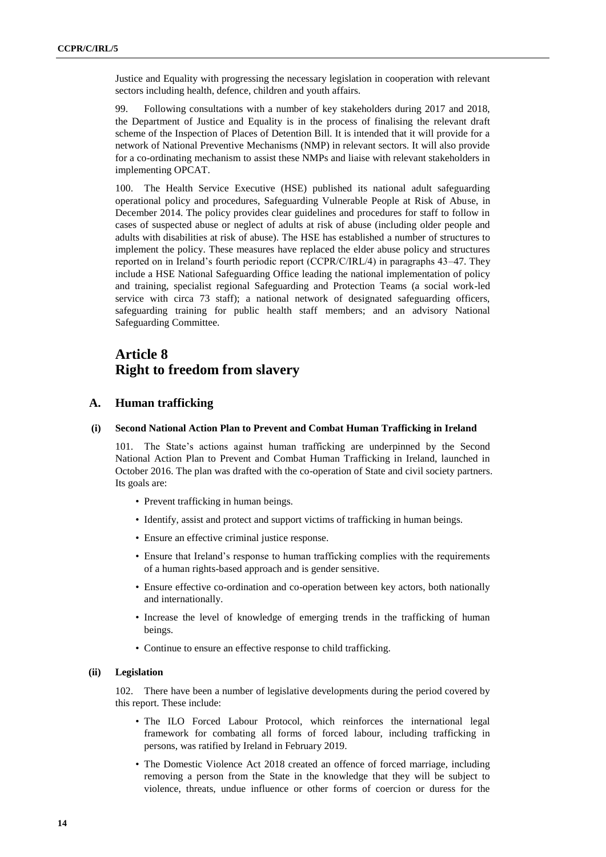Justice and Equality with progressing the necessary legislation in cooperation with relevant sectors including health, defence, children and youth affairs.

99. Following consultations with a number of key stakeholders during 2017 and 2018, the Department of Justice and Equality is in the process of finalising the relevant draft scheme of the Inspection of Places of Detention Bill. It is intended that it will provide for a network of National Preventive Mechanisms (NMP) in relevant sectors. It will also provide for a co-ordinating mechanism to assist these NMPs and liaise with relevant stakeholders in implementing OPCAT.

100. The Health Service Executive (HSE) published its national adult safeguarding operational policy and procedures, Safeguarding Vulnerable People at Risk of Abuse, in December 2014. The policy provides clear guidelines and procedures for staff to follow in cases of suspected abuse or neglect of adults at risk of abuse (including older people and adults with disabilities at risk of abuse). The HSE has established a number of structures to implement the policy. These measures have replaced the elder abuse policy and structures reported on in Ireland's fourth periodic report (CCPR/C/IRL/4) in paragraphs 43–47. They include a HSE National Safeguarding Office leading the national implementation of policy and training, specialist regional Safeguarding and Protection Teams (a social work-led service with circa 73 staff); a national network of designated safeguarding officers, safeguarding training for public health staff members; and an advisory National Safeguarding Committee.

## **Article 8 Right to freedom from slavery**

## **A. Human trafficking**

#### **(i) Second National Action Plan to Prevent and Combat Human Trafficking in Ireland**

101. The State's actions against human trafficking are underpinned by the Second National Action Plan to Prevent and Combat Human Trafficking in Ireland, launched in October 2016. The plan was drafted with the co-operation of State and civil society partners. Its goals are:

- Prevent trafficking in human beings.
- Identify, assist and protect and support victims of trafficking in human beings.
- Ensure an effective criminal justice response.
- Ensure that Ireland's response to human trafficking complies with the requirements of a human rights-based approach and is gender sensitive.
- Ensure effective co-ordination and co-operation between key actors, both nationally and internationally.
- Increase the level of knowledge of emerging trends in the trafficking of human beings.
- Continue to ensure an effective response to child trafficking.

#### **(ii) Legislation**

102. There have been a number of legislative developments during the period covered by this report. These include:

- The ILO Forced Labour Protocol, which reinforces the international legal framework for combating all forms of forced labour, including trafficking in persons, was ratified by Ireland in February 2019.
- The Domestic Violence Act 2018 created an offence of forced marriage, including removing a person from the State in the knowledge that they will be subject to violence, threats, undue influence or other forms of coercion or duress for the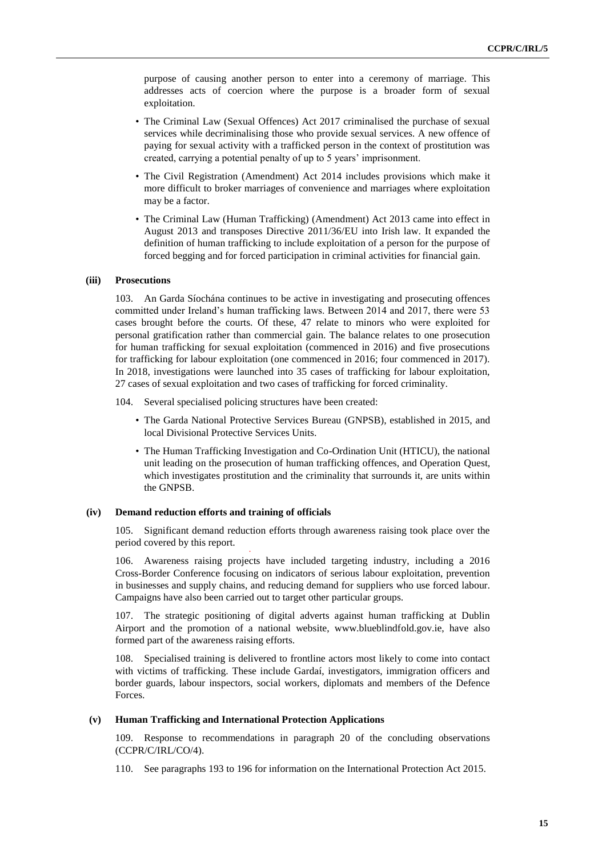purpose of causing another person to enter into a ceremony of marriage. This addresses acts of coercion where the purpose is a broader form of sexual exploitation.

- The Criminal Law (Sexual Offences) Act 2017 criminalised the purchase of sexual services while decriminalising those who provide sexual services. A new offence of paying for sexual activity with a trafficked person in the context of prostitution was created, carrying a potential penalty of up to 5 years' imprisonment.
- The Civil Registration (Amendment) Act 2014 includes provisions which make it more difficult to broker marriages of convenience and marriages where exploitation may be a factor.
- The Criminal Law (Human Trafficking) (Amendment) Act 2013 came into effect in August 2013 and transposes Directive 2011/36/EU into Irish law. It expanded the definition of human trafficking to include exploitation of a person for the purpose of forced begging and for forced participation in criminal activities for financial gain.

#### **(iii) Prosecutions**

103. An Garda Síochána continues to be active in investigating and prosecuting offences committed under Ireland's human trafficking laws. Between 2014 and 2017, there were 53 cases brought before the courts. Of these, 47 relate to minors who were exploited for personal gratification rather than commercial gain. The balance relates to one prosecution for human trafficking for sexual exploitation (commenced in 2016) and five prosecutions for trafficking for labour exploitation (one commenced in 2016; four commenced in 2017). In 2018, investigations were launched into 35 cases of trafficking for labour exploitation, 27 cases of sexual exploitation and two cases of trafficking for forced criminality.

- 104. Several specialised policing structures have been created:
	- The Garda National Protective Services Bureau (GNPSB), established in 2015, and local Divisional Protective Services Units.
	- The Human Trafficking Investigation and Co-Ordination Unit (HTICU), the national unit leading on the prosecution of human trafficking offences, and Operation Quest, which investigates prostitution and the criminality that surrounds it, are units within the GNPSB.

#### **(iv) Demand reduction efforts and training of officials**

105. Significant demand reduction efforts through awareness raising took place over the period covered by this report.

106. Awareness raising projects have included targeting industry, including a 2016 Cross-Border Conference focusing on indicators of serious labour exploitation, prevention in businesses and supply chains, and reducing demand for suppliers who use forced labour. Campaigns have also been carried out to target other particular groups.

107. The strategic positioning of digital adverts against human trafficking at Dublin Airport and the promotion of a national website, www.blueblindfold.gov.ie, have also formed part of the awareness raising efforts.

108. Specialised training is delivered to frontline actors most likely to come into contact with victims of trafficking. These include Gardaí, investigators, immigration officers and border guards, labour inspectors, social workers, diplomats and members of the Defence Forces.

#### **(v) Human Trafficking and International Protection Applications**

109. Response to recommendations in paragraph 20 of the concluding observations (CCPR/C/IRL/CO/4).

110. See paragraphs 193 to 196 for information on the International Protection Act 2015.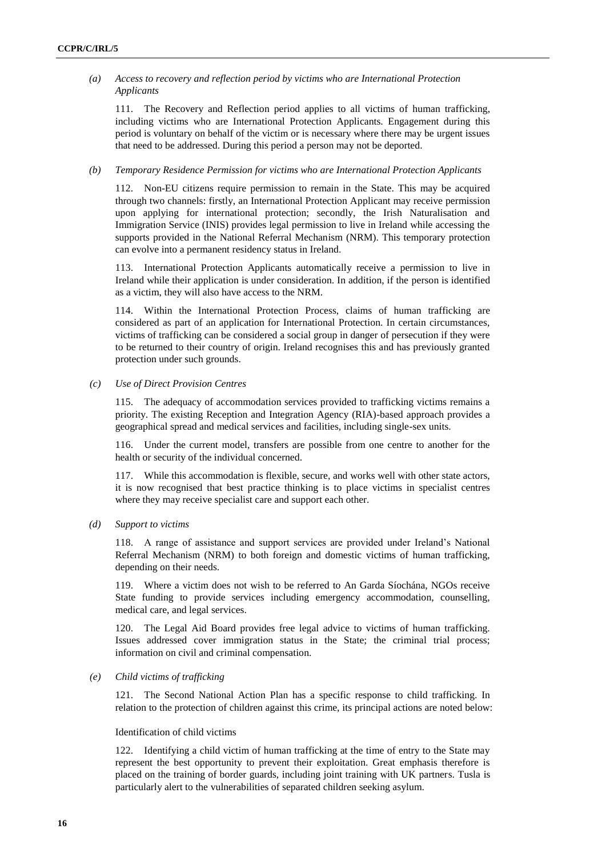### *(a) Access to recovery and reflection period by victims who are International Protection Applicants*

111. The Recovery and Reflection period applies to all victims of human trafficking, including victims who are International Protection Applicants. Engagement during this period is voluntary on behalf of the victim or is necessary where there may be urgent issues that need to be addressed. During this period a person may not be deported.

#### *(b) Temporary Residence Permission for victims who are International Protection Applicants*

112. Non-EU citizens require permission to remain in the State. This may be acquired through two channels: firstly, an International Protection Applicant may receive permission upon applying for international protection; secondly, the Irish Naturalisation and Immigration Service (INIS) provides legal permission to live in Ireland while accessing the supports provided in the National Referral Mechanism (NRM). This temporary protection can evolve into a permanent residency status in Ireland.

113. International Protection Applicants automatically receive a permission to live in Ireland while their application is under consideration. In addition, if the person is identified as a victim, they will also have access to the NRM.

114. Within the International Protection Process, claims of human trafficking are considered as part of an application for International Protection. In certain circumstances, victims of trafficking can be considered a social group in danger of persecution if they were to be returned to their country of origin. Ireland recognises this and has previously granted protection under such grounds.

#### *(c) Use of Direct Provision Centres*

115. The adequacy of accommodation services provided to trafficking victims remains a priority. The existing Reception and Integration Agency (RIA)-based approach provides a geographical spread and medical services and facilities, including single-sex units.

116. Under the current model, transfers are possible from one centre to another for the health or security of the individual concerned.

117. While this accommodation is flexible, secure, and works well with other state actors, it is now recognised that best practice thinking is to place victims in specialist centres where they may receive specialist care and support each other.

#### *(d) Support to victims*

118. A range of assistance and support services are provided under Ireland's National Referral Mechanism (NRM) to both foreign and domestic victims of human trafficking, depending on their needs.

119. Where a victim does not wish to be referred to An Garda Síochána, NGOs receive State funding to provide services including emergency accommodation, counselling, medical care, and legal services.

120. The Legal Aid Board provides free legal advice to victims of human trafficking. Issues addressed cover immigration status in the State; the criminal trial process; information on civil and criminal compensation.

#### *(e) Child victims of trafficking*

121. The Second National Action Plan has a specific response to child trafficking. In relation to the protection of children against this crime, its principal actions are noted below:

#### Identification of child victims

122. Identifying a child victim of human trafficking at the time of entry to the State may represent the best opportunity to prevent their exploitation. Great emphasis therefore is placed on the training of border guards, including joint training with UK partners. Tusla is particularly alert to the vulnerabilities of separated children seeking asylum.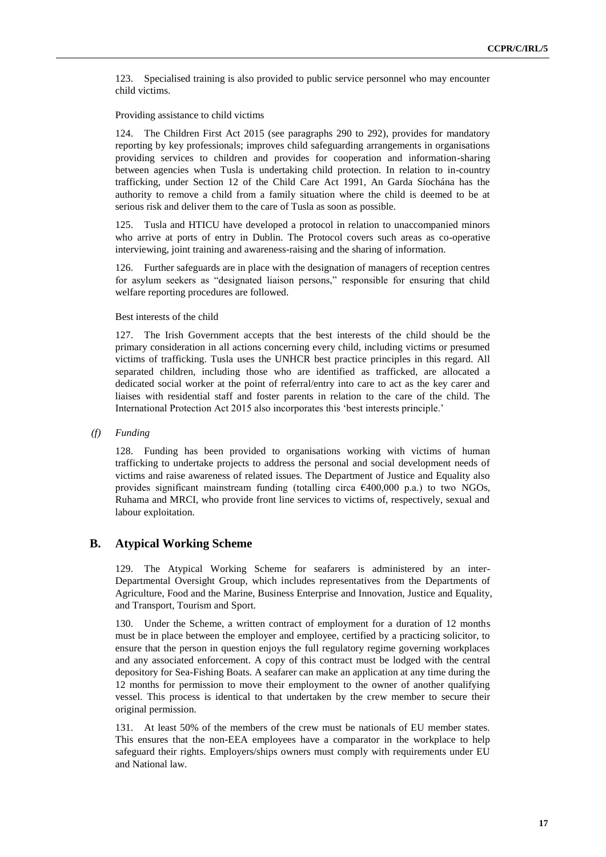123. Specialised training is also provided to public service personnel who may encounter child victims.

Providing assistance to child victims

124. The Children First Act 2015 (see paragraphs 290 to 292), provides for mandatory reporting by key professionals; improves child safeguarding arrangements in organisations providing services to children and provides for cooperation and information-sharing between agencies when Tusla is undertaking child protection. In relation to in-country trafficking, under Section 12 of the Child Care Act 1991, An Garda Síochána has the authority to remove a child from a family situation where the child is deemed to be at serious risk and deliver them to the care of Tusla as soon as possible.

125. Tusla and HTICU have developed a protocol in relation to unaccompanied minors who arrive at ports of entry in Dublin. The Protocol covers such areas as co-operative interviewing, joint training and awareness-raising and the sharing of information.

126. Further safeguards are in place with the designation of managers of reception centres for asylum seekers as "designated liaison persons," responsible for ensuring that child welfare reporting procedures are followed.

Best interests of the child

127. The Irish Government accepts that the best interests of the child should be the primary consideration in all actions concerning every child, including victims or presumed victims of trafficking. Tusla uses the UNHCR best practice principles in this regard. All separated children, including those who are identified as trafficked, are allocated a dedicated social worker at the point of referral/entry into care to act as the key carer and liaises with residential staff and foster parents in relation to the care of the child. The International Protection Act 2015 also incorporates this 'best interests principle.'

*(f) Funding* 

128. Funding has been provided to organisations working with victims of human trafficking to undertake projects to address the personal and social development needs of victims and raise awareness of related issues. The Department of Justice and Equality also provides significant mainstream funding (totalling circa  $\epsilon$ 400,000 p.a.) to two NGOs, Ruhama and MRCI, who provide front line services to victims of, respectively, sexual and labour exploitation.

### **B. Atypical Working Scheme**

129. The Atypical Working Scheme for seafarers is administered by an inter-Departmental Oversight Group, which includes representatives from the Departments of Agriculture, Food and the Marine, Business Enterprise and Innovation, Justice and Equality, and Transport, Tourism and Sport.

130. Under the Scheme, a written contract of employment for a duration of 12 months must be in place between the employer and employee, certified by a practicing solicitor, to ensure that the person in question enjoys the full regulatory regime governing workplaces and any associated enforcement. A copy of this contract must be lodged with the central depository for Sea-Fishing Boats. A seafarer can make an application at any time during the 12 months for permission to move their employment to the owner of another qualifying vessel. This process is identical to that undertaken by the crew member to secure their original permission.

131. At least 50% of the members of the crew must be nationals of EU member states. This ensures that the non-EEA employees have a comparator in the workplace to help safeguard their rights. Employers/ships owners must comply with requirements under EU and National law.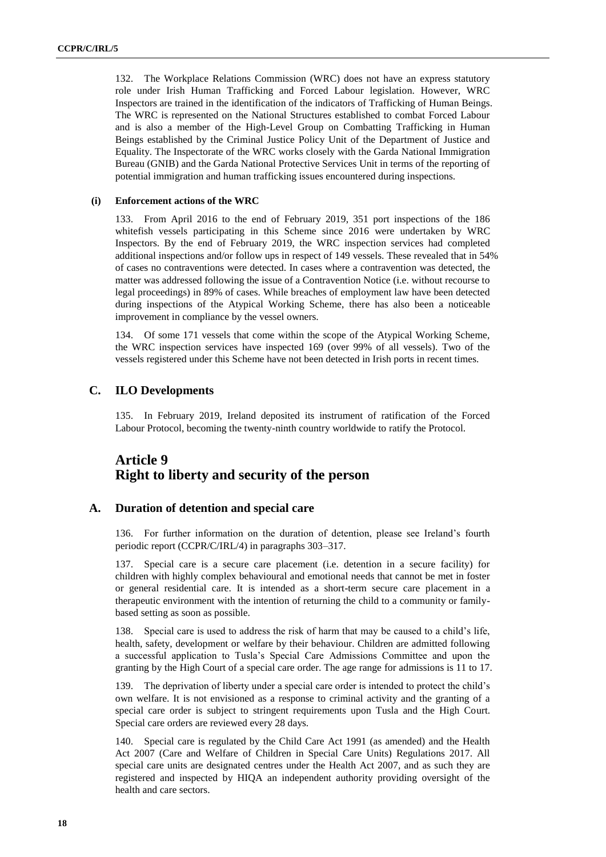132. The Workplace Relations Commission (WRC) does not have an express statutory role under Irish Human Trafficking and Forced Labour legislation. However, WRC Inspectors are trained in the identification of the indicators of Trafficking of Human Beings. The WRC is represented on the National Structures established to combat Forced Labour and is also a member of the High-Level Group on Combatting Trafficking in Human Beings established by the Criminal Justice Policy Unit of the Department of Justice and Equality. The Inspectorate of the WRC works closely with the Garda National Immigration Bureau (GNIB) and the Garda National Protective Services Unit in terms of the reporting of potential immigration and human trafficking issues encountered during inspections.

#### **(i) Enforcement actions of the WRC**

133. From April 2016 to the end of February 2019, 351 port inspections of the 186 whitefish vessels participating in this Scheme since 2016 were undertaken by WRC Inspectors. By the end of February 2019, the WRC inspection services had completed additional inspections and/or follow ups in respect of 149 vessels. These revealed that in 54% of cases no contraventions were detected. In cases where a contravention was detected, the matter was addressed following the issue of a Contravention Notice (i.e. without recourse to legal proceedings) in 89% of cases. While breaches of employment law have been detected during inspections of the Atypical Working Scheme, there has also been a noticeable improvement in compliance by the vessel owners.

134. Of some 171 vessels that come within the scope of the Atypical Working Scheme, the WRC inspection services have inspected 169 (over 99% of all vessels). Two of the vessels registered under this Scheme have not been detected in Irish ports in recent times.

## **C. ILO Developments**

135. In February 2019, Ireland deposited its instrument of ratification of the Forced Labour Protocol, becoming the twenty-ninth country worldwide to ratify the Protocol.

## **Article 9 Right to liberty and security of the person**

## **A. Duration of detention and special care**

136. For further information on the duration of detention, please see Ireland's fourth periodic report (CCPR/C/IRL/4) in paragraphs 303–317.

137. Special care is a secure care placement (i.e. detention in a secure facility) for children with highly complex behavioural and emotional needs that cannot be met in foster or general residential care. It is intended as a short-term secure care placement in a therapeutic environment with the intention of returning the child to a community or familybased setting as soon as possible.

138. Special care is used to address the risk of harm that may be caused to a child's life, health, safety, development or welfare by their behaviour. Children are admitted following a successful application to Tusla's Special Care Admissions Committee and upon the granting by the High Court of a special care order. The age range for admissions is 11 to 17.

139. The deprivation of liberty under a special care order is intended to protect the child's own welfare. It is not envisioned as a response to criminal activity and the granting of a special care order is subject to stringent requirements upon Tusla and the High Court. Special care orders are reviewed every 28 days.

140. Special care is regulated by the Child Care Act 1991 (as amended) and the Health Act 2007 (Care and Welfare of Children in Special Care Units) Regulations 2017. All special care units are designated centres under the Health Act 2007, and as such they are registered and inspected by HIQA an independent authority providing oversight of the health and care sectors.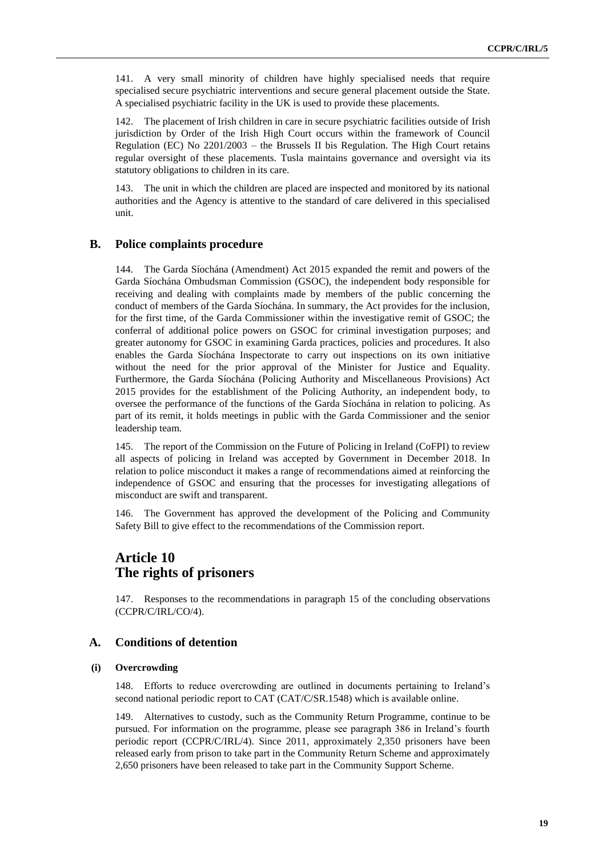141. A very small minority of children have highly specialised needs that require specialised secure psychiatric interventions and secure general placement outside the State. A specialised psychiatric facility in the UK is used to provide these placements.

142. The placement of Irish children in care in secure psychiatric facilities outside of Irish jurisdiction by Order of the Irish High Court occurs within the framework of Council Regulation (EC) No 2201/2003 – the Brussels II bis Regulation. The High Court retains regular oversight of these placements. Tusla maintains governance and oversight via its statutory obligations to children in its care.

143. The unit in which the children are placed are inspected and monitored by its national authorities and the Agency is attentive to the standard of care delivered in this specialised unit.

### **B. Police complaints procedure**

144. The Garda Síochána (Amendment) Act 2015 expanded the remit and powers of the Garda Síochána Ombudsman Commission (GSOC), the independent body responsible for receiving and dealing with complaints made by members of the public concerning the conduct of members of the Garda Síochána. In summary, the Act provides for the inclusion, for the first time, of the Garda Commissioner within the investigative remit of GSOC; the conferral of additional police powers on GSOC for criminal investigation purposes; and greater autonomy for GSOC in examining Garda practices, policies and procedures. It also enables the Garda Síochána Inspectorate to carry out inspections on its own initiative without the need for the prior approval of the Minister for Justice and Equality. Furthermore, the Garda Síochána (Policing Authority and Miscellaneous Provisions) Act 2015 provides for the establishment of the Policing Authority, an independent body, to oversee the performance of the functions of the Garda Síochána in relation to policing. As part of its remit, it holds meetings in public with the Garda Commissioner and the senior leadership team.

145. The report of the Commission on the Future of Policing in Ireland (CoFPI) to review all aspects of policing in Ireland was accepted by Government in December 2018. In relation to police misconduct it makes a range of recommendations aimed at reinforcing the independence of GSOC and ensuring that the processes for investigating allegations of misconduct are swift and transparent.

146. The Government has approved the development of the Policing and Community Safety Bill to give effect to the recommendations of the Commission report.

## **Article 10 The rights of prisoners**

147. Responses to the recommendations in paragraph 15 of the concluding observations (CCPR/C/IRL/CO/4).

### **A. Conditions of detention**

#### **(i) Overcrowding**

148. Efforts to reduce overcrowding are outlined in documents pertaining to Ireland's second national periodic report to CAT (CAT/C/SR.1548) which is available online.

149. Alternatives to custody, such as the Community Return Programme, continue to be pursued. For information on the programme, please see paragraph 386 in Ireland's fourth periodic report (CCPR/C/IRL/4). Since 2011, approximately 2,350 prisoners have been released early from prison to take part in the Community Return Scheme and approximately 2,650 prisoners have been released to take part in the Community Support Scheme.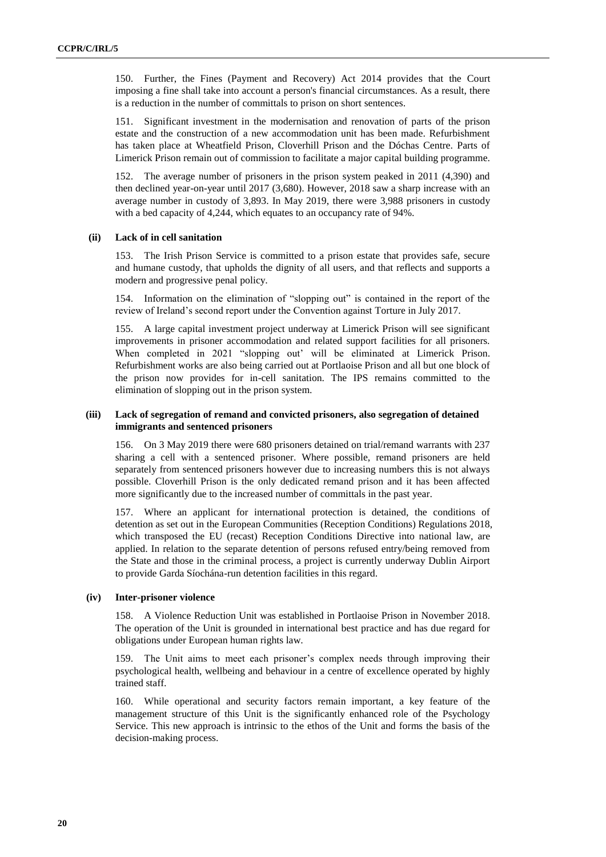150. Further, the Fines (Payment and Recovery) Act 2014 provides that the Court imposing a fine shall take into account a person's financial circumstances. As a result, there is a reduction in the number of committals to prison on short sentences.

151. Significant investment in the modernisation and renovation of parts of the prison estate and the construction of a new accommodation unit has been made. Refurbishment has taken place at Wheatfield Prison, Cloverhill Prison and the Dóchas Centre. Parts of Limerick Prison remain out of commission to facilitate a major capital building programme.

152. The average number of prisoners in the prison system peaked in 2011 (4,390) and then declined year-on-year until 2017 (3,680). However, 2018 saw a sharp increase with an average number in custody of 3,893. In May 2019, there were 3,988 prisoners in custody with a bed capacity of 4,244, which equates to an occupancy rate of 94%.

#### **(ii) Lack of in cell sanitation**

153. The Irish Prison Service is committed to a prison estate that provides safe, secure and humane custody, that upholds the dignity of all users, and that reflects and supports a modern and progressive penal policy.

154. Information on the elimination of "slopping out" is contained in the report of the review of Ireland's second report under the Convention against Torture in July 2017.

155. A large capital investment project underway at Limerick Prison will see significant improvements in prisoner accommodation and related support facilities for all prisoners. When completed in 2021 "slopping out' will be eliminated at Limerick Prison. Refurbishment works are also being carried out at Portlaoise Prison and all but one block of the prison now provides for in-cell sanitation. The IPS remains committed to the elimination of slopping out in the prison system.

#### **(iii) Lack of segregation of remand and convicted prisoners, also segregation of detained immigrants and sentenced prisoners**

156. On 3 May 2019 there were 680 prisoners detained on trial/remand warrants with 237 sharing a cell with a sentenced prisoner. Where possible, remand prisoners are held separately from sentenced prisoners however due to increasing numbers this is not always possible. Cloverhill Prison is the only dedicated remand prison and it has been affected more significantly due to the increased number of committals in the past year.

157. Where an applicant for international protection is detained, the conditions of detention as set out in the European Communities (Reception Conditions) Regulations 2018, which transposed the EU (recast) Reception Conditions Directive into national law, are applied. In relation to the separate detention of persons refused entry/being removed from the State and those in the criminal process, a project is currently underway Dublin Airport to provide Garda Síochána-run detention facilities in this regard.

#### **(iv) Inter-prisoner violence**

158. A Violence Reduction Unit was established in Portlaoise Prison in November 2018. The operation of the Unit is grounded in international best practice and has due regard for obligations under European human rights law.

159. The Unit aims to meet each prisoner's complex needs through improving their psychological health, wellbeing and behaviour in a centre of excellence operated by highly trained staff.

160. While operational and security factors remain important, a key feature of the management structure of this Unit is the significantly enhanced role of the Psychology Service. This new approach is intrinsic to the ethos of the Unit and forms the basis of the decision-making process.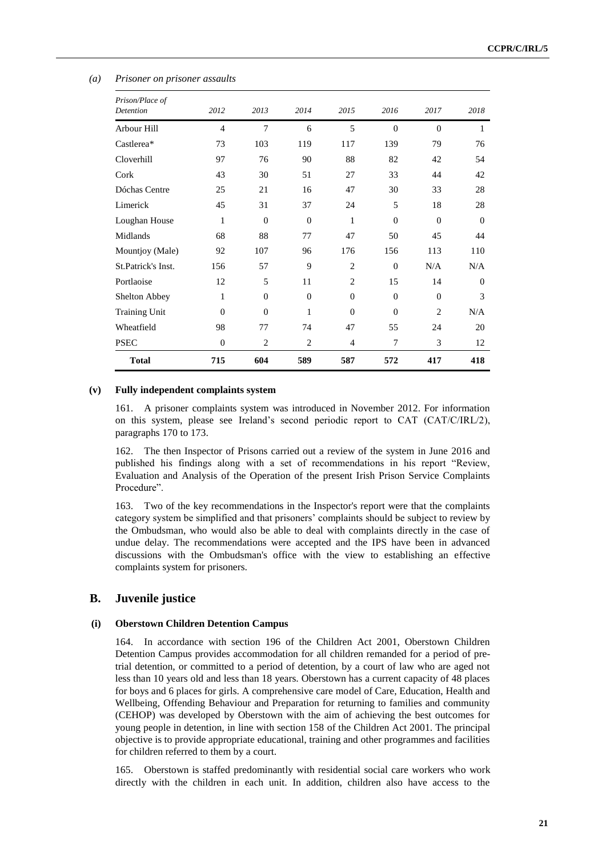| Prison/Place of      |                |                |                |                |          |                |          |
|----------------------|----------------|----------------|----------------|----------------|----------|----------------|----------|
| Detention            | 2012           | 2013           | 2014           | 2015           | 2016     | 2017           | 2018     |
| Arbour Hill          | $\overline{4}$ | 7              | 6              | 5              | $\Omega$ | $\theta$       | 1        |
| Castlerea*           | 73             | 103            | 119            | 117            | 139      | 79             | 76       |
| Cloverhill           | 97             | 76             | 90             | 88             | 82       | 42             | 54       |
| Cork                 | 43             | 30             | 51             | 27             | 33       | 44             | 42       |
| Dóchas Centre        | 25             | 21             | 16             | 47             | 30       | 33             | 28       |
| Limerick             | 45             | 31             | 37             | 24             | 5        | 18             | 28       |
| Loughan House        | 1              | $\Omega$       | $\Omega$       | 1              | $\Omega$ | $\theta$       | $\Omega$ |
| Midlands             | 68             | 88             | 77             | 47             | 50       | 45             | 44       |
| Mountjoy (Male)      | 92             | 107            | 96             | 176            | 156      | 113            | 110      |
| St.Patrick's Inst.   | 156            | 57             | 9              | $\overline{2}$ | $\Omega$ | N/A            | N/A      |
| Portlaoise           | 12             | 5              | 11             | $\overline{2}$ | 15       | 14             | $\Omega$ |
| Shelton Abbey        | 1              | $\theta$       | $\theta$       | $\theta$       | $\Omega$ | $\mathbf{0}$   | 3        |
| <b>Training Unit</b> | $\Omega$       | $\theta$       | 1              | $\theta$       | $\theta$ | $\overline{c}$ | N/A      |
| Wheatfield           | 98             | 77             | 74             | 47             | 55       | 24             | 20       |
| <b>PSEC</b>          | $\overline{0}$ | $\overline{2}$ | $\overline{2}$ | $\overline{4}$ | 7        | 3              | 12       |
| <b>Total</b>         | 715            | 604            | 589            | 587            | 572      | 417            | 418      |

#### *(a) Prisoner on prisoner assaults*

#### **(v) Fully independent complaints system**

161. A prisoner complaints system was introduced in November 2012. For information on this system, please see Ireland's second periodic report to CAT (CAT/C/IRL/2), paragraphs 170 to 173.

162. The then Inspector of Prisons carried out a review of the system in June 2016 and published his findings along with a set of recommendations in his report "Review, Evaluation and Analysis of the Operation of the present Irish Prison Service Complaints Procedure".

163. Two of the key recommendations in the Inspector's report were that the complaints category system be simplified and that prisoners' complaints should be subject to review by the Ombudsman, who would also be able to deal with complaints directly in the case of undue delay. The recommendations were accepted and the IPS have been in advanced discussions with the Ombudsman's office with the view to establishing an effective complaints system for prisoners.

## **B. Juvenile justice**

#### **(i) Oberstown Children Detention Campus**

164. In accordance with section 196 of the Children Act 2001, Oberstown Children Detention Campus provides accommodation for all children remanded for a period of pretrial detention, or committed to a period of detention, by a court of law who are aged not less than 10 years old and less than 18 years. Oberstown has a current capacity of 48 places for boys and 6 places for girls. A comprehensive care model of Care, Education, Health and Wellbeing, Offending Behaviour and Preparation for returning to families and community (CEHOP) was developed by Oberstown with the aim of achieving the best outcomes for young people in detention, in line with section 158 of the Children Act 2001. The principal objective is to provide appropriate educational, training and other programmes and facilities for children referred to them by a court.

165. Oberstown is staffed predominantly with residential social care workers who work directly with the children in each unit. In addition, children also have access to the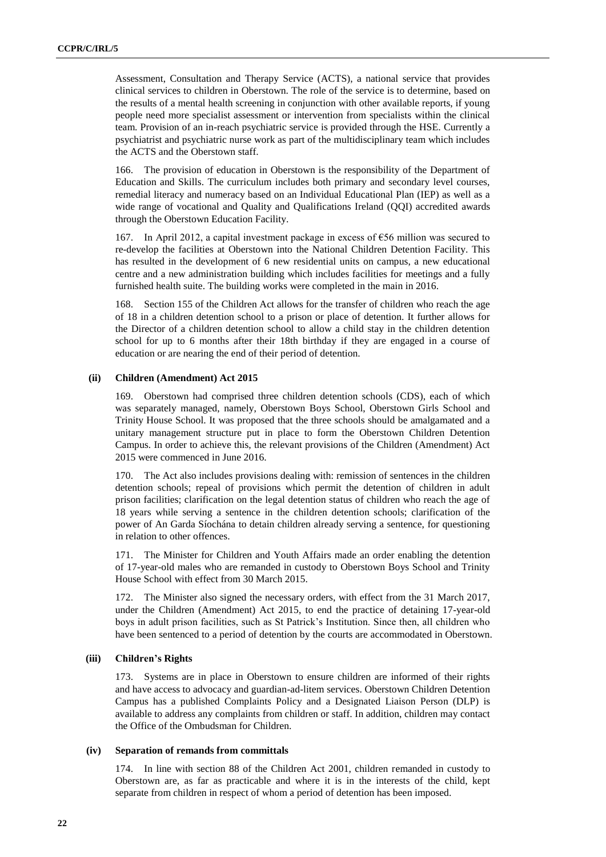Assessment, Consultation and Therapy Service (ACTS), a national service that provides clinical services to children in Oberstown. The role of the service is to determine, based on the results of a mental health screening in conjunction with other available reports, if young people need more specialist assessment or intervention from specialists within the clinical team. Provision of an in-reach psychiatric service is provided through the HSE. Currently a psychiatrist and psychiatric nurse work as part of the multidisciplinary team which includes the ACTS and the Oberstown staff.

166. The provision of education in Oberstown is the responsibility of the Department of Education and Skills. The curriculum includes both primary and secondary level courses, remedial literacy and numeracy based on an Individual Educational Plan (IEP) as well as a wide range of vocational and Quality and Qualifications Ireland (QQI) accredited awards through the Oberstown Education Facility.

167. In April 2012, a capital investment package in excess of €56 million was secured to re-develop the facilities at Oberstown into the National Children Detention Facility. This has resulted in the development of 6 new residential units on campus, a new educational centre and a new administration building which includes facilities for meetings and a fully furnished health suite. The building works were completed in the main in 2016.

168. Section 155 of the Children Act allows for the transfer of children who reach the age of 18 in a children detention school to a prison or place of detention. It further allows for the Director of a children detention school to allow a child stay in the children detention school for up to 6 months after their 18th birthday if they are engaged in a course of education or are nearing the end of their period of detention.

#### **(ii) Children (Amendment) Act 2015**

169. Oberstown had comprised three children detention schools (CDS), each of which was separately managed, namely, Oberstown Boys School, Oberstown Girls School and Trinity House School. It was proposed that the three schools should be amalgamated and a unitary management structure put in place to form the Oberstown Children Detention Campus. In order to achieve this, the relevant provisions of the Children (Amendment) Act 2015 were commenced in June 2016.

170. The Act also includes provisions dealing with: remission of sentences in the children detention schools; repeal of provisions which permit the detention of children in adult prison facilities; clarification on the legal detention status of children who reach the age of 18 years while serving a sentence in the children detention schools; clarification of the power of An Garda Síochána to detain children already serving a sentence, for questioning in relation to other offences.

171. The Minister for Children and Youth Affairs made an order enabling the detention of 17-year-old males who are remanded in custody to Oberstown Boys School and Trinity House School with effect from 30 March 2015.

172. The Minister also signed the necessary orders, with effect from the 31 March 2017, under the Children (Amendment) Act 2015, to end the practice of detaining 17-year-old boys in adult prison facilities, such as St Patrick's Institution. Since then, all children who have been sentenced to a period of detention by the courts are accommodated in Oberstown.

#### **(iii) Children's Rights**

173. Systems are in place in Oberstown to ensure children are informed of their rights and have access to advocacy and guardian-ad-litem services. Oberstown Children Detention Campus has a published Complaints Policy and a Designated Liaison Person (DLP) is available to address any complaints from children or staff. In addition, children may contact the Office of the Ombudsman for Children.

#### **(iv) Separation of remands from committals**

174. In line with section 88 of the Children Act 2001, children remanded in custody to Oberstown are, as far as practicable and where it is in the interests of the child, kept separate from children in respect of whom a period of detention has been imposed.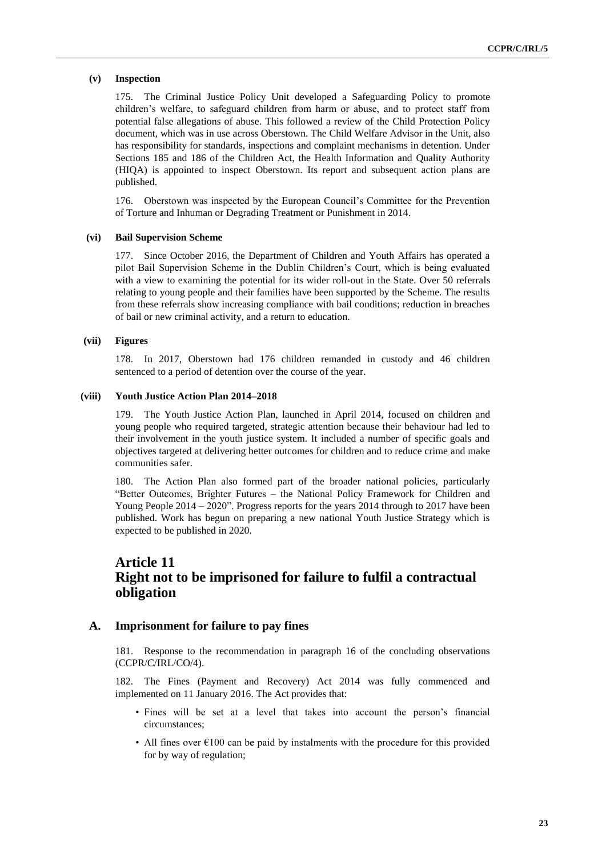#### **(v) Inspection**

175. The Criminal Justice Policy Unit developed a Safeguarding Policy to promote children's welfare, to safeguard children from harm or abuse, and to protect staff from potential false allegations of abuse. This followed a review of the Child Protection Policy document, which was in use across Oberstown. The Child Welfare Advisor in the Unit, also has responsibility for standards, inspections and complaint mechanisms in detention. Under Sections 185 and 186 of the Children Act, the Health Information and Quality Authority (HIQA) is appointed to inspect Oberstown. Its report and subsequent action plans are published.

176. Oberstown was inspected by the European Council's Committee for the Prevention of Torture and Inhuman or Degrading Treatment or Punishment in 2014.

#### **(vi) Bail Supervision Scheme**

177. Since October 2016, the Department of Children and Youth Affairs has operated a pilot Bail Supervision Scheme in the Dublin Children's Court, which is being evaluated with a view to examining the potential for its wider roll-out in the State. Over 50 referrals relating to young people and their families have been supported by the Scheme. The results from these referrals show increasing compliance with bail conditions; reduction in breaches of bail or new criminal activity, and a return to education.

#### **(vii) Figures**

178. In 2017, Oberstown had 176 children remanded in custody and 46 children sentenced to a period of detention over the course of the year.

#### **(viii) Youth Justice Action Plan 2014–2018**

179. The Youth Justice Action Plan, launched in April 2014, focused on children and young people who required targeted, strategic attention because their behaviour had led to their involvement in the youth justice system. It included a number of specific goals and objectives targeted at delivering better outcomes for children and to reduce crime and make communities safer.

180. The Action Plan also formed part of the broader national policies, particularly "Better Outcomes, Brighter Futures – the National Policy Framework for Children and Young People 2014 – 2020". Progress reports for the years 2014 through to 2017 have been published. Work has begun on preparing a new national Youth Justice Strategy which is expected to be published in 2020.

## **Article 11 Right not to be imprisoned for failure to fulfil a contractual obligation**

#### **A. Imprisonment for failure to pay fines**

181. Response to the recommendation in paragraph 16 of the concluding observations (CCPR/C/IRL/CO/4).

182. The Fines (Payment and Recovery) Act 2014 was fully commenced and implemented on 11 January 2016. The Act provides that:

- Fines will be set at a level that takes into account the person's financial circumstances;
- All fines over  $\epsilon$ 100 can be paid by instalments with the procedure for this provided for by way of regulation;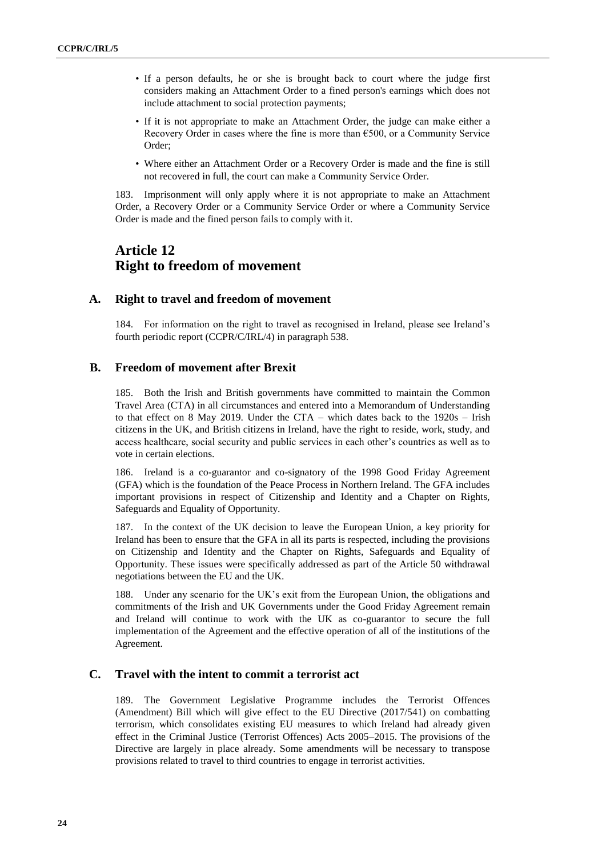- If a person defaults, he or she is brought back to court where the judge first considers making an Attachment Order to a fined person's earnings which does not include attachment to social protection payments;
- If it is not appropriate to make an Attachment Order, the judge can make either a Recovery Order in cases where the fine is more than €500, or a Community Service Order;
- Where either an Attachment Order or a Recovery Order is made and the fine is still not recovered in full, the court can make a Community Service Order.

183. Imprisonment will only apply where it is not appropriate to make an Attachment Order, a Recovery Order or a Community Service Order or where a Community Service Order is made and the fined person fails to comply with it.

## **Article 12 Right to freedom of movement**

### **A. Right to travel and freedom of movement**

184. For information on the right to travel as recognised in Ireland, please see Ireland's fourth periodic report (CCPR/C/IRL/4) in paragraph 538.

### **B. Freedom of movement after Brexit**

185. Both the Irish and British governments have committed to maintain the Common Travel Area (CTA) in all circumstances and entered into a Memorandum of Understanding to that effect on 8 May 2019. Under the CTA – which dates back to the 1920s – Irish citizens in the UK, and British citizens in Ireland, have the right to reside, work, study, and access healthcare, social security and public services in each other's countries as well as to vote in certain elections.

186. Ireland is a co-guarantor and co-signatory of the 1998 Good Friday Agreement (GFA) which is the foundation of the Peace Process in Northern Ireland. The GFA includes important provisions in respect of Citizenship and Identity and a Chapter on Rights, Safeguards and Equality of Opportunity.

187. In the context of the UK decision to leave the European Union, a key priority for Ireland has been to ensure that the GFA in all its parts is respected, including the provisions on Citizenship and Identity and the Chapter on Rights, Safeguards and Equality of Opportunity. These issues were specifically addressed as part of the Article 50 withdrawal negotiations between the EU and the UK.

188. Under any scenario for the UK's exit from the European Union, the obligations and commitments of the Irish and UK Governments under the Good Friday Agreement remain and Ireland will continue to work with the UK as co-guarantor to secure the full implementation of the Agreement and the effective operation of all of the institutions of the Agreement.

## **C. Travel with the intent to commit a terrorist act**

189. The Government Legislative Programme includes the Terrorist Offences (Amendment) Bill which will give effect to the EU Directive (2017/541) on combatting terrorism, which consolidates existing EU measures to which Ireland had already given effect in the Criminal Justice (Terrorist Offences) Acts 2005–2015. The provisions of the Directive are largely in place already. Some amendments will be necessary to transpose provisions related to travel to third countries to engage in terrorist activities.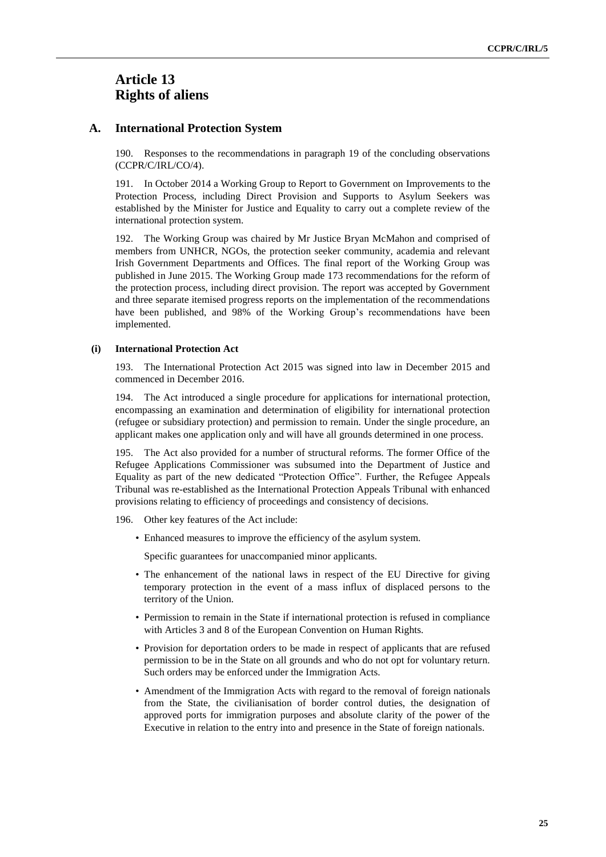## **Article 13 Rights of aliens**

#### **A. International Protection System**

190. Responses to the recommendations in paragraph 19 of the concluding observations (CCPR/C/IRL/CO/4).

191. In October 2014 a Working Group to Report to Government on Improvements to the Protection Process, including Direct Provision and Supports to Asylum Seekers was established by the Minister for Justice and Equality to carry out a complete review of the international protection system.

192. The Working Group was chaired by Mr Justice Bryan McMahon and comprised of members from UNHCR, NGOs, the protection seeker community, academia and relevant Irish Government Departments and Offices. The final report of the Working Group was published in June 2015. The Working Group made 173 recommendations for the reform of the protection process, including direct provision. The report was accepted by Government and three separate itemised progress reports on the implementation of the recommendations have been published, and 98% of the Working Group's recommendations have been implemented.

#### **(i) International Protection Act**

193. The International Protection Act 2015 was signed into law in December 2015 and commenced in December 2016.

194. The Act introduced a single procedure for applications for international protection, encompassing an examination and determination of eligibility for international protection (refugee or subsidiary protection) and permission to remain. Under the single procedure, an applicant makes one application only and will have all grounds determined in one process.

195. The Act also provided for a number of structural reforms. The former Office of the Refugee Applications Commissioner was subsumed into the Department of Justice and Equality as part of the new dedicated "Protection Office". Further, the Refugee Appeals Tribunal was re-established as the International Protection Appeals Tribunal with enhanced provisions relating to efficiency of proceedings and consistency of decisions.

196. Other key features of the Act include:

• Enhanced measures to improve the efficiency of the asylum system.

Specific guarantees for unaccompanied minor applicants.

- The enhancement of the national laws in respect of the EU Directive for giving temporary protection in the event of a mass influx of displaced persons to the territory of the Union.
- Permission to remain in the State if international protection is refused in compliance with Articles 3 and 8 of the European Convention on Human Rights.
- Provision for deportation orders to be made in respect of applicants that are refused permission to be in the State on all grounds and who do not opt for voluntary return. Such orders may be enforced under the Immigration Acts.
- Amendment of the Immigration Acts with regard to the removal of foreign nationals from the State, the civilianisation of border control duties, the designation of approved ports for immigration purposes and absolute clarity of the power of the Executive in relation to the entry into and presence in the State of foreign nationals.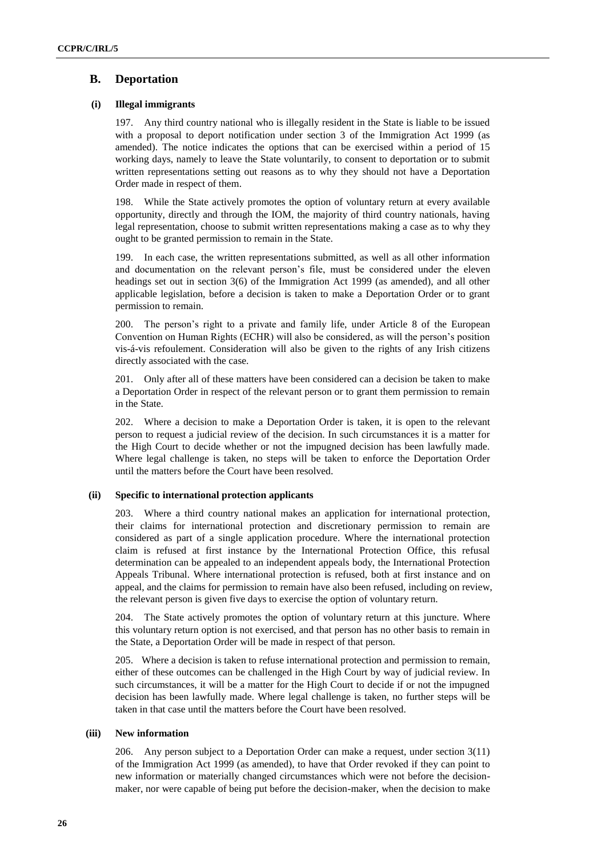## **B. Deportation**

### **(i) Illegal immigrants**

197. Any third country national who is illegally resident in the State is liable to be issued with a proposal to deport notification under section 3 of the Immigration Act 1999 (as amended). The notice indicates the options that can be exercised within a period of 15 working days, namely to leave the State voluntarily, to consent to deportation or to submit written representations setting out reasons as to why they should not have a Deportation Order made in respect of them.

198. While the State actively promotes the option of voluntary return at every available opportunity, directly and through the IOM, the majority of third country nationals, having legal representation, choose to submit written representations making a case as to why they ought to be granted permission to remain in the State.

199. In each case, the written representations submitted, as well as all other information and documentation on the relevant person's file, must be considered under the eleven headings set out in section 3(6) of the Immigration Act 1999 (as amended), and all other applicable legislation, before a decision is taken to make a Deportation Order or to grant permission to remain.

200. The person's right to a private and family life, under Article 8 of the European Convention on Human Rights (ECHR) will also be considered, as will the person's position vis-á-vis refoulement. Consideration will also be given to the rights of any Irish citizens directly associated with the case.

201. Only after all of these matters have been considered can a decision be taken to make a Deportation Order in respect of the relevant person or to grant them permission to remain in the State.

202. Where a decision to make a Deportation Order is taken, it is open to the relevant person to request a judicial review of the decision. In such circumstances it is a matter for the High Court to decide whether or not the impugned decision has been lawfully made. Where legal challenge is taken, no steps will be taken to enforce the Deportation Order until the matters before the Court have been resolved.

### **(ii) Specific to international protection applicants**

203. Where a third country national makes an application for international protection, their claims for international protection and discretionary permission to remain are considered as part of a single application procedure. Where the international protection claim is refused at first instance by the International Protection Office, this refusal determination can be appealed to an independent appeals body, the International Protection Appeals Tribunal. Where international protection is refused, both at first instance and on appeal, and the claims for permission to remain have also been refused, including on review, the relevant person is given five days to exercise the option of voluntary return.

204. The State actively promotes the option of voluntary return at this juncture. Where this voluntary return option is not exercised, and that person has no other basis to remain in the State, a Deportation Order will be made in respect of that person.

205. Where a decision is taken to refuse international protection and permission to remain, either of these outcomes can be challenged in the High Court by way of judicial review. In such circumstances, it will be a matter for the High Court to decide if or not the impugned decision has been lawfully made. Where legal challenge is taken, no further steps will be taken in that case until the matters before the Court have been resolved.

#### **(iii) New information**

206. Any person subject to a Deportation Order can make a request, under section 3(11) of the Immigration Act 1999 (as amended), to have that Order revoked if they can point to new information or materially changed circumstances which were not before the decisionmaker, nor were capable of being put before the decision-maker, when the decision to make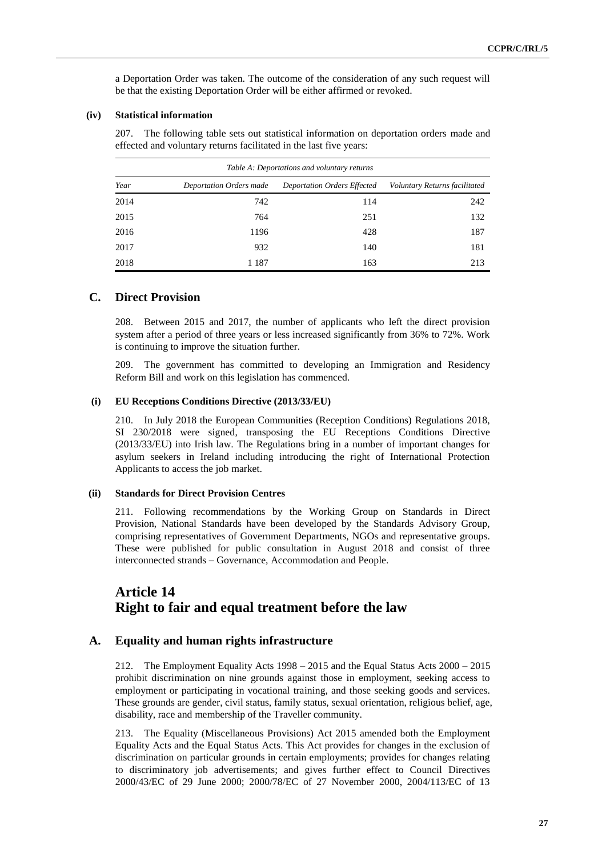a Deportation Order was taken. The outcome of the consideration of any such request will be that the existing Deportation Order will be either affirmed or revoked.

#### **(iv) Statistical information**

207. The following table sets out statistical information on deportation orders made and effected and voluntary returns facilitated in the last five years:

| Table A: Deportations and voluntary returns |                         |                                    |                               |  |
|---------------------------------------------|-------------------------|------------------------------------|-------------------------------|--|
| Year                                        | Deportation Orders made | <b>Deportation Orders Effected</b> | Voluntary Returns facilitated |  |
| 2014                                        | 742                     | 114                                | 242                           |  |
| 2015                                        | 764                     | 251                                | 132                           |  |
| 2016                                        | 1196                    | 428                                | 187                           |  |
| 2017                                        | 932                     | 140                                | 181                           |  |
| 2018                                        | 1 187                   | 163                                | 213                           |  |

### **C. Direct Provision**

208. Between 2015 and 2017, the number of applicants who left the direct provision system after a period of three years or less increased significantly from 36% to 72%. Work is continuing to improve the situation further.

209. The government has committed to developing an Immigration and Residency Reform Bill and work on this legislation has commenced.

#### **(i) EU Receptions Conditions Directive (2013/33/EU)**

210. In July 2018 the European Communities (Reception Conditions) Regulations 2018, SI 230/2018 were signed, transposing the EU Receptions Conditions Directive (2013/33/EU) into Irish law. The Regulations bring in a number of important changes for asylum seekers in Ireland including introducing the right of International Protection Applicants to access the job market.

#### **(ii) Standards for Direct Provision Centres**

211. Following recommendations by the Working Group on Standards in Direct Provision, National Standards have been developed by the Standards Advisory Group, comprising representatives of Government Departments, NGOs and representative groups. These were published for public consultation in August 2018 and consist of three interconnected strands – Governance, Accommodation and People.

## **Article 14 Right to fair and equal treatment before the law**

#### **A. Equality and human rights infrastructure**

212. The Employment Equality Acts 1998 – 2015 and the Equal Status Acts 2000 – 2015 prohibit discrimination on nine grounds against those in employment, seeking access to employment or participating in vocational training, and those seeking goods and services. These grounds are gender, civil status, family status, sexual orientation, religious belief, age, disability, race and membership of the Traveller community.

213. The Equality (Miscellaneous Provisions) Act 2015 amended both the Employment Equality Acts and the Equal Status Acts. This Act provides for changes in the exclusion of discrimination on particular grounds in certain employments; provides for changes relating to discriminatory job advertisements; and gives further effect to Council Directives 2000/43/EC of 29 June 2000; 2000/78/EC of 27 November 2000, 2004/113/EC of 13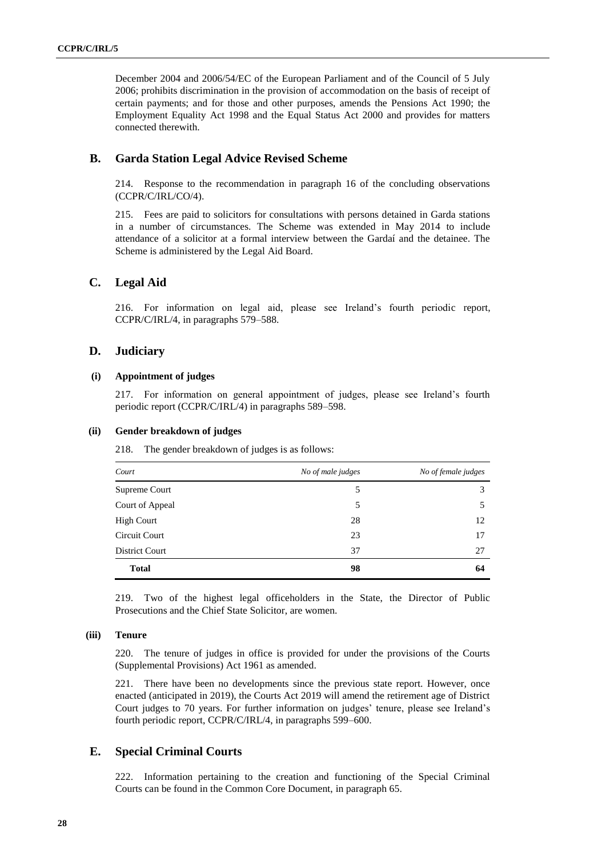December 2004 and 2006/54/EC of the European Parliament and of the Council of 5 July 2006; prohibits discrimination in the provision of accommodation on the basis of receipt of certain payments; and for those and other purposes, amends the Pensions Act 1990; the Employment Equality Act 1998 and the Equal Status Act 2000 and provides for matters connected therewith.

## **B. Garda Station Legal Advice Revised Scheme**

214. Response to the recommendation in paragraph 16 of the concluding observations (CCPR/C/IRL/CO/4).

215. Fees are paid to solicitors for consultations with persons detained in Garda stations in a number of circumstances. The Scheme was extended in May 2014 to include attendance of a solicitor at a formal interview between the Gardaí and the detainee. The Scheme is administered by the Legal Aid Board.

### **C. Legal Aid**

216. For information on legal aid, please see Ireland's fourth periodic report, CCPR/C/IRL/4, in paragraphs 579–588.

### **D. Judiciary**

#### **(i) Appointment of judges**

217. For information on general appointment of judges, please see Ireland's fourth periodic report (CCPR/C/IRL/4) in paragraphs 589–598.

#### **(ii) Gender breakdown of judges**

218. The gender breakdown of judges is as follows:

| Court           | No of male judges | No of female judges |
|-----------------|-------------------|---------------------|
| Supreme Court   | 5                 | 3                   |
| Court of Appeal | 5                 |                     |
| High Court      | 28                | 12                  |
| Circuit Court   | 23                | 17                  |
| District Court  | 37                | 27                  |
| <b>Total</b>    | 98                | 64                  |

219. Two of the highest legal officeholders in the State, the Director of Public Prosecutions and the Chief State Solicitor, are women.

#### **(iii) Tenure**

220. The tenure of judges in office is provided for under the provisions of the Courts (Supplemental Provisions) Act 1961 as amended.

221. There have been no developments since the previous state report. However, once enacted (anticipated in 2019), the Courts Act 2019 will amend the retirement age of District Court judges to 70 years. For further information on judges' tenure, please see Ireland's fourth periodic report, CCPR/C/IRL/4, in paragraphs 599–600.

### **E. Special Criminal Courts**

222. Information pertaining to the creation and functioning of the Special Criminal Courts can be found in the Common Core Document, in paragraph 65.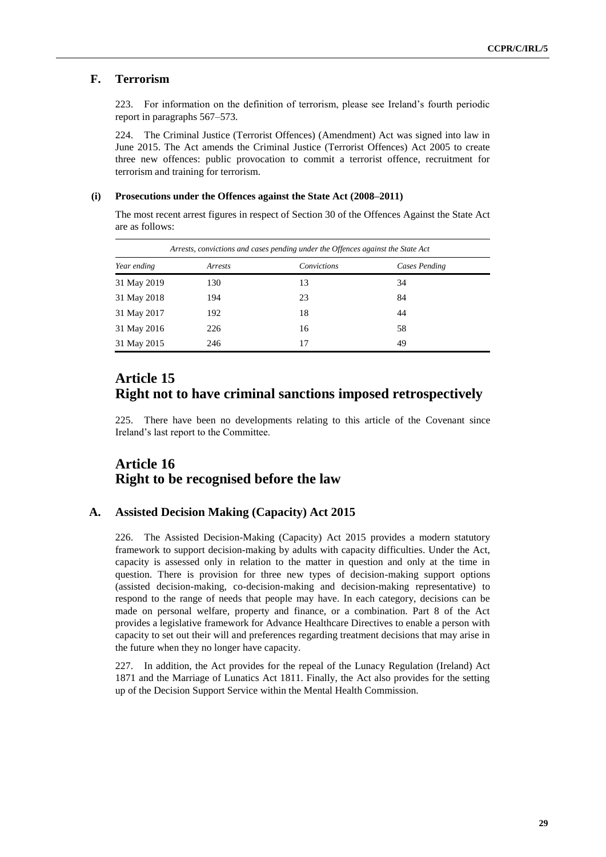## **F. Terrorism**

223. For information on the definition of terrorism, please see Ireland's fourth periodic report in paragraphs 567–573.

224. The Criminal Justice (Terrorist Offences) (Amendment) Act was signed into law in June 2015. The Act amends the Criminal Justice (Terrorist Offences) Act 2005 to create three new offences: public provocation to commit a terrorist offence, recruitment for terrorism and training for terrorism.

#### **(i) Prosecutions under the Offences against the State Act (2008–2011)**

The most recent arrest figures in respect of Section 30 of the Offences Against the State Act are as follows:

| Arrests, convictions and cases pending under the Offences against the State Act |         |             |               |  |
|---------------------------------------------------------------------------------|---------|-------------|---------------|--|
| Year ending                                                                     | Arrests | Convictions | Cases Pending |  |
| 31 May 2019                                                                     | 130     | 13          | 34            |  |
| 31 May 2018                                                                     | 194     | 23          | 84            |  |
| 31 May 2017                                                                     | 192     | 18          | 44            |  |
| 31 May 2016                                                                     | 226     | 16          | 58            |  |
| 31 May 2015                                                                     | 246     | 17          | 49            |  |

## **Article 15 Right not to have criminal sanctions imposed retrospectively**

225. There have been no developments relating to this article of the Covenant since Ireland's last report to the Committee.

## **Article 16 Right to be recognised before the law**

## **A. Assisted Decision Making (Capacity) Act 2015**

226. The Assisted Decision-Making (Capacity) Act 2015 provides a modern statutory framework to support decision-making by adults with capacity difficulties. Under the Act, capacity is assessed only in relation to the matter in question and only at the time in question. There is provision for three new types of decision-making support options (assisted decision-making, co-decision-making and decision-making representative) to respond to the range of needs that people may have. In each category, decisions can be made on personal welfare, property and finance, or a combination. Part 8 of the Act provides a legislative framework for Advance Healthcare Directives to enable a person with capacity to set out their will and preferences regarding treatment decisions that may arise in the future when they no longer have capacity.

227. In addition, the Act provides for the repeal of the Lunacy Regulation (Ireland) Act 1871 and the Marriage of Lunatics Act 1811. Finally, the Act also provides for the setting up of the Decision Support Service within the Mental Health Commission.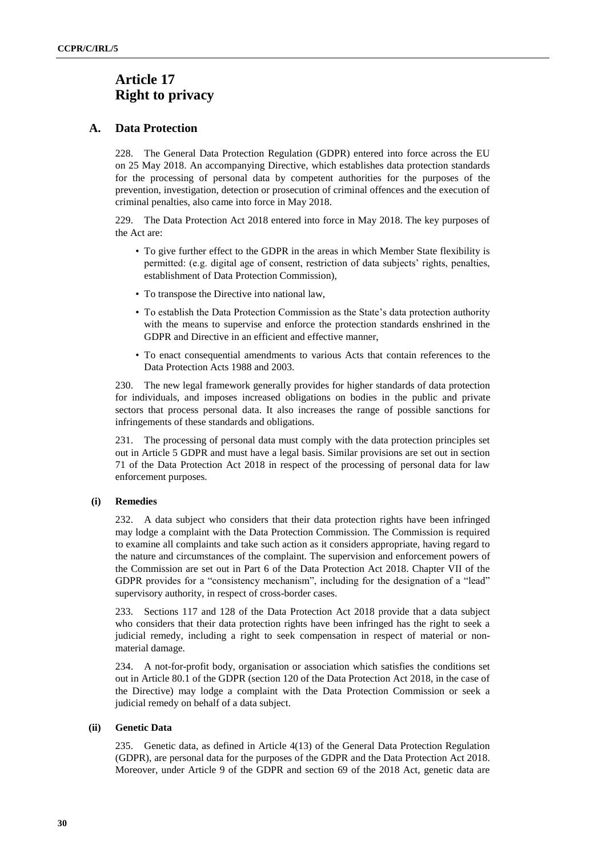## **Article 17 Right to privacy**

## **A. Data Protection**

228. The General Data Protection Regulation (GDPR) entered into force across the EU on 25 May 2018. An accompanying Directive, which establishes data protection standards for the processing of personal data by competent authorities for the purposes of the prevention, investigation, detection or prosecution of criminal offences and the execution of criminal penalties, also came into force in May 2018.

229. The Data Protection Act 2018 entered into force in May 2018. The key purposes of the Act are:

- To give further effect to the GDPR in the areas in which Member State flexibility is permitted: (e.g. digital age of consent, restriction of data subjects' rights, penalties, establishment of Data Protection Commission),
- To transpose the Directive into national law,
- To establish the Data Protection Commission as the State's data protection authority with the means to supervise and enforce the protection standards enshrined in the GDPR and Directive in an efficient and effective manner,
- To enact consequential amendments to various Acts that contain references to the Data Protection Acts 1988 and 2003.

230. The new legal framework generally provides for higher standards of data protection for individuals, and imposes increased obligations on bodies in the public and private sectors that process personal data. It also increases the range of possible sanctions for infringements of these standards and obligations.

231. The processing of personal data must comply with the data protection principles set out in Article 5 GDPR and must have a legal basis. Similar provisions are set out in section 71 of the Data Protection Act 2018 in respect of the processing of personal data for law enforcement purposes.

### **(i) Remedies**

232. A data subject who considers that their data protection rights have been infringed may lodge a complaint with the Data Protection Commission. The Commission is required to examine all complaints and take such action as it considers appropriate, having regard to the nature and circumstances of the complaint. The supervision and enforcement powers of the Commission are set out in Part 6 of the Data Protection Act 2018. Chapter VII of the GDPR provides for a "consistency mechanism", including for the designation of a "lead" supervisory authority, in respect of cross-border cases.

233. Sections 117 and 128 of the Data Protection Act 2018 provide that a data subject who considers that their data protection rights have been infringed has the right to seek a judicial remedy, including a right to seek compensation in respect of material or nonmaterial damage.

234. A not-for-profit body, organisation or association which satisfies the conditions set out in Article 80.1 of the GDPR (section 120 of the Data Protection Act 2018, in the case of the Directive) may lodge a complaint with the Data Protection Commission or seek a judicial remedy on behalf of a data subject.

### **(ii) Genetic Data**

235. Genetic data, as defined in Article 4(13) of the General Data Protection Regulation (GDPR), are personal data for the purposes of the GDPR and the Data Protection Act 2018. Moreover, under Article 9 of the GDPR and section 69 of the 2018 Act, genetic data are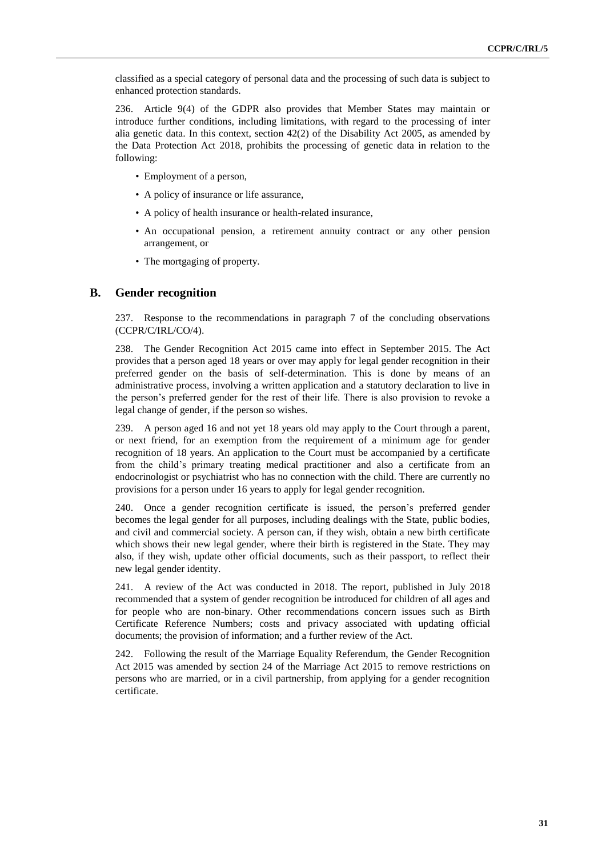classified as a special category of personal data and the processing of such data is subject to enhanced protection standards.

236. Article 9(4) of the GDPR also provides that Member States may maintain or introduce further conditions, including limitations, with regard to the processing of inter alia genetic data. In this context, section 42(2) of the Disability Act 2005, as amended by the Data Protection Act 2018, prohibits the processing of genetic data in relation to the following:

- Employment of a person,
- A policy of insurance or life assurance,
- A policy of health insurance or health-related insurance,
- An occupational pension, a retirement annuity contract or any other pension arrangement, or
- The mortgaging of property.

#### **B. Gender recognition**

237. Response to the recommendations in paragraph 7 of the concluding observations (CCPR/C/IRL/CO/4).

238. The Gender Recognition Act 2015 came into effect in September 2015. The Act provides that a person aged 18 years or over may apply for legal gender recognition in their preferred gender on the basis of self-determination. This is done by means of an administrative process, involving a written application and a statutory declaration to live in the person's preferred gender for the rest of their life. There is also provision to revoke a legal change of gender, if the person so wishes.

239. A person aged 16 and not yet 18 years old may apply to the Court through a parent, or next friend, for an exemption from the requirement of a minimum age for gender recognition of 18 years. An application to the Court must be accompanied by a certificate from the child's primary treating medical practitioner and also a certificate from an endocrinologist or psychiatrist who has no connection with the child. There are currently no provisions for a person under 16 years to apply for legal gender recognition.

240. Once a gender recognition certificate is issued, the person's preferred gender becomes the legal gender for all purposes, including dealings with the State, public bodies, and civil and commercial society. A person can, if they wish, obtain a new birth certificate which shows their new legal gender, where their birth is registered in the State. They may also, if they wish, update other official documents, such as their passport, to reflect their new legal gender identity.

241. A review of the Act was conducted in 2018. The report, published in July 2018 recommended that a system of gender recognition be introduced for children of all ages and for people who are non-binary. Other recommendations concern issues such as Birth Certificate Reference Numbers; costs and privacy associated with updating official documents; the provision of information; and a further review of the Act.

242. Following the result of the Marriage Equality Referendum, the Gender Recognition Act 2015 was amended by section 24 of the Marriage Act 2015 to remove restrictions on persons who are married, or in a civil partnership, from applying for a gender recognition certificate.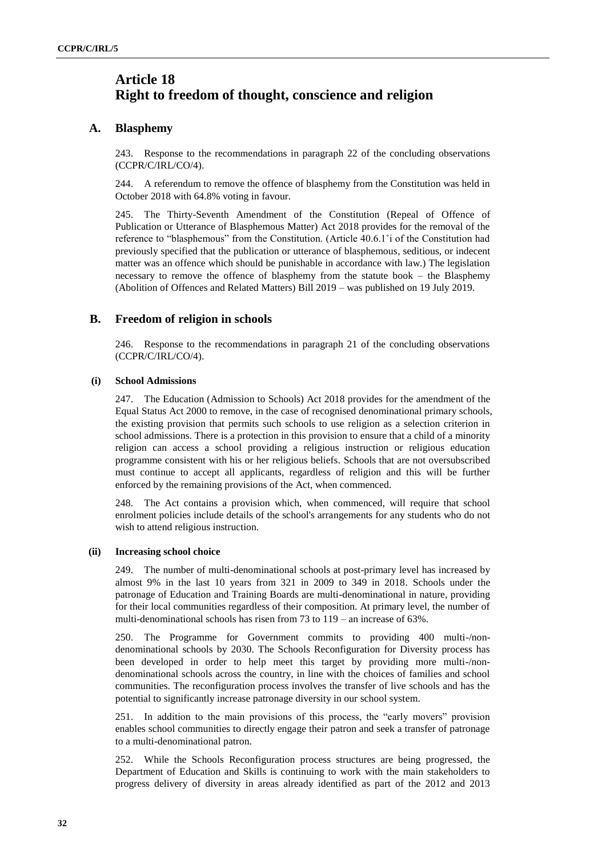## **Article 18 Right to freedom of thought, conscience and religion**

## **A. Blasphemy**

243. Response to the recommendations in paragraph 22 of the concluding observations (CCPR/C/IRL/CO/4).

244. A referendum to remove the offence of blasphemy from the Constitution was held in October 2018 with 64.8% voting in favour.

245. The Thirty-Seventh Amendment of the Constitution (Repeal of Offence of Publication or Utterance of Blasphemous Matter) Act 2018 provides for the removal of the reference to "blasphemous" from the Constitution. (Article 40.6.1˚i of the Constitution had previously specified that the publication or utterance of blasphemous, seditious, or indecent matter was an offence which should be punishable in accordance with law.) The legislation necessary to remove the offence of blasphemy from the statute book – the Blasphemy (Abolition of Offences and Related Matters) Bill 2019 – was published on 19 July 2019.

## **B. Freedom of religion in schools**

246. Response to the recommendations in paragraph 21 of the concluding observations (CCPR/C/IRL/CO/4).

### **(i) School Admissions**

247. The Education (Admission to Schools) Act 2018 provides for the amendment of the Equal Status Act 2000 to remove, in the case of recognised denominational primary schools, the existing provision that permits such schools to use religion as a selection criterion in school admissions. There is a protection in this provision to ensure that a child of a minority religion can access a school providing a religious instruction or religious education programme consistent with his or her religious beliefs. Schools that are not oversubscribed must continue to accept all applicants, regardless of religion and this will be further enforced by the remaining provisions of the Act, when commenced.

248. The Act contains a provision which, when commenced, will require that school enrolment policies include details of the school's arrangements for any students who do not wish to attend religious instruction.

### **(ii) Increasing school choice**

249. The number of multi-denominational schools at post-primary level has increased by almost 9% in the last 10 years from 321 in 2009 to 349 in 2018. Schools under the patronage of Education and Training Boards are multi-denominational in nature, providing for their local communities regardless of their composition. At primary level, the number of multi-denominational schools has risen from 73 to 119 – an increase of 63%.

250. The Programme for Government commits to providing 400 multi-/nondenominational schools by 2030. The Schools Reconfiguration for Diversity process has been developed in order to help meet this target by providing more multi-/nondenominational schools across the country, in line with the choices of families and school communities. The reconfiguration process involves the transfer of live schools and has the potential to significantly increase patronage diversity in our school system.

251. In addition to the main provisions of this process, the "early movers" provision enables school communities to directly engage their patron and seek a transfer of patronage to a multi-denominational patron.

252. While the Schools Reconfiguration process structures are being progressed, the Department of Education and Skills is continuing to work with the main stakeholders to progress delivery of diversity in areas already identified as part of the 2012 and 2013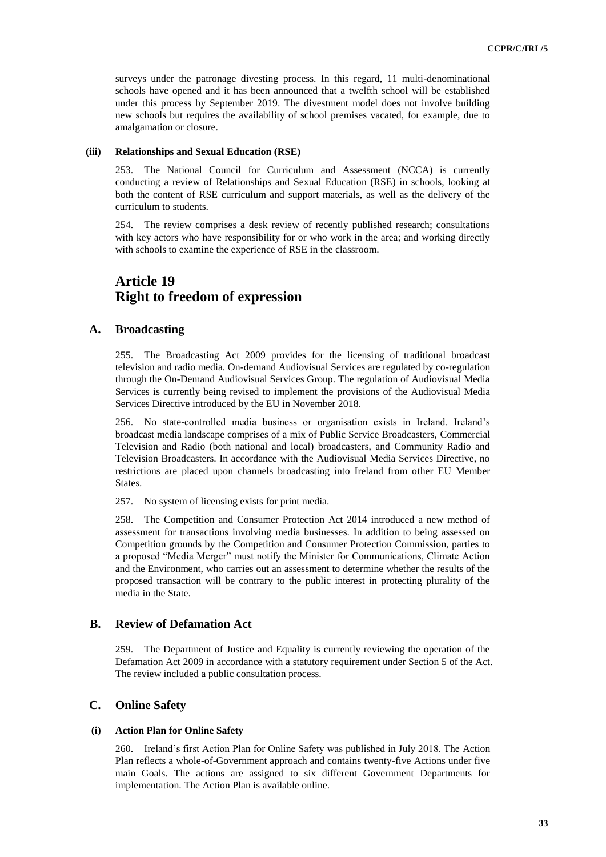surveys under the patronage divesting process. In this regard, 11 multi-denominational schools have opened and it has been announced that a twelfth school will be established under this process by September 2019. The divestment model does not involve building new schools but requires the availability of school premises vacated, for example, due to amalgamation or closure.

#### **(iii) Relationships and Sexual Education (RSE)**

253. The National Council for Curriculum and Assessment (NCCA) is currently conducting a review of Relationships and Sexual Education (RSE) in schools, looking at both the content of RSE curriculum and support materials, as well as the delivery of the curriculum to students.

254. The review comprises a desk review of recently published research; consultations with key actors who have responsibility for or who work in the area; and working directly with schools to examine the experience of RSE in the classroom.

## **Article 19 Right to freedom of expression**

## **A. Broadcasting**

255. The Broadcasting Act 2009 provides for the licensing of traditional broadcast television and radio media. On-demand Audiovisual Services are regulated by co-regulation through the On-Demand Audiovisual Services Group. The regulation of Audiovisual Media Services is currently being revised to implement the provisions of the Audiovisual Media Services Directive introduced by the EU in November 2018.

256. No state-controlled media business or organisation exists in Ireland. Ireland's broadcast media landscape comprises of a mix of Public Service Broadcasters, Commercial Television and Radio (both national and local) broadcasters, and Community Radio and Television Broadcasters. In accordance with the Audiovisual Media Services Directive, no restrictions are placed upon channels broadcasting into Ireland from other EU Member States.

257. No system of licensing exists for print media.

258. The Competition and Consumer Protection Act 2014 introduced a new method of assessment for transactions involving media businesses. In addition to being assessed on Competition grounds by the Competition and Consumer Protection Commission, parties to a proposed "Media Merger" must notify the Minister for Communications, Climate Action and the Environment, who carries out an assessment to determine whether the results of the proposed transaction will be contrary to the public interest in protecting plurality of the media in the State.

## **B. Review of Defamation Act**

259. The Department of Justice and Equality is currently reviewing the operation of the Defamation Act 2009 in accordance with a statutory requirement under Section 5 of the Act. The review included a public consultation process.

## **C. Online Safety**

#### **(i) Action Plan for Online Safety**

260. Ireland's first Action Plan for Online Safety was published in July 2018. The Action Plan reflects a whole-of-Government approach and contains twenty-five Actions under five main Goals. The actions are assigned to six different Government Departments for implementation. The Action Plan is available online.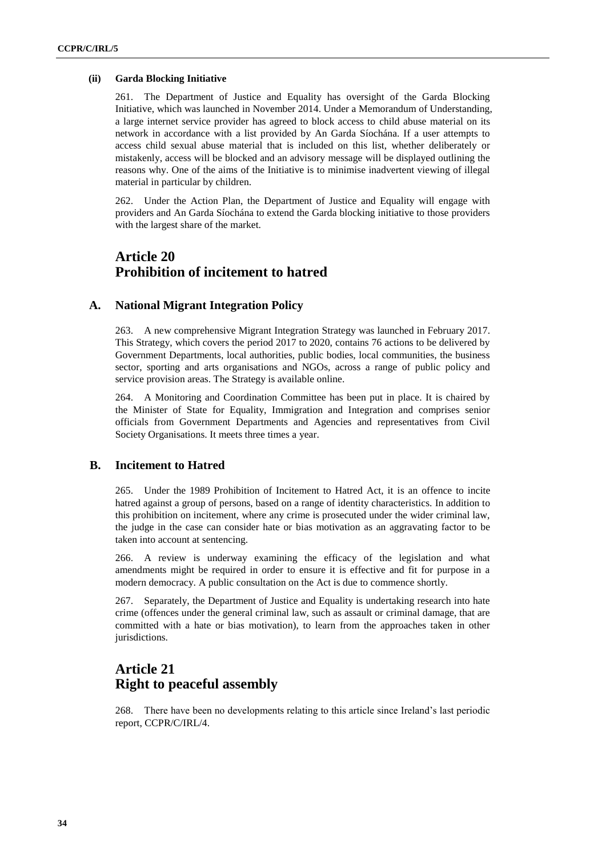#### **(ii) Garda Blocking Initiative**

261. The Department of Justice and Equality has oversight of the Garda Blocking Initiative, which was launched in November 2014. Under a Memorandum of Understanding, a large internet service provider has agreed to block access to child abuse material on its network in accordance with a list provided by An Garda Síochána. If a user attempts to access child sexual abuse material that is included on this list, whether deliberately or mistakenly, access will be blocked and an advisory message will be displayed outlining the reasons why. One of the aims of the Initiative is to minimise inadvertent viewing of illegal material in particular by children.

262. Under the Action Plan, the Department of Justice and Equality will engage with providers and An Garda Síochána to extend the Garda blocking initiative to those providers with the largest share of the market.

## **Article 20 Prohibition of incitement to hatred**

### **A. National Migrant Integration Policy**

263. A new comprehensive Migrant Integration Strategy was launched in February 2017. This Strategy, which covers the period 2017 to 2020, contains 76 actions to be delivered by Government Departments, local authorities, public bodies, local communities, the business sector, sporting and arts organisations and NGOs, across a range of public policy and service provision areas. The Strategy is available online.

264. A Monitoring and Coordination Committee has been put in place. It is chaired by the Minister of State for Equality, Immigration and Integration and comprises senior officials from Government Departments and Agencies and representatives from Civil Society Organisations. It meets three times a year.

## **B. Incitement to Hatred**

265. Under the 1989 Prohibition of Incitement to Hatred Act, it is an offence to incite hatred against a group of persons, based on a range of identity characteristics. In addition to this prohibition on incitement, where any crime is prosecuted under the wider criminal law, the judge in the case can consider hate or bias motivation as an aggravating factor to be taken into account at sentencing.

266. A review is underway examining the efficacy of the legislation and what amendments might be required in order to ensure it is effective and fit for purpose in a modern democracy. A public consultation on the Act is due to commence shortly.

267. Separately, the Department of Justice and Equality is undertaking research into hate crime (offences under the general criminal law, such as assault or criminal damage, that are committed with a hate or bias motivation), to learn from the approaches taken in other jurisdictions.

## **Article 21 Right to peaceful assembly**

268. There have been no developments relating to this article since Ireland's last periodic report, CCPR/C/IRL/4.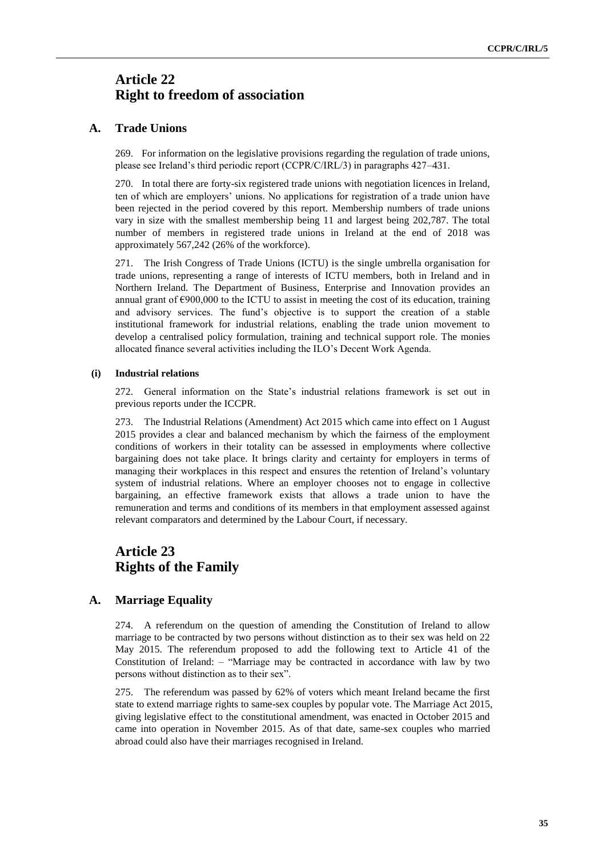## **Article 22 Right to freedom of association**

## **A. Trade Unions**

269. For information on the legislative provisions regarding the regulation of trade unions, please see Ireland's third periodic report (CCPR/C/IRL/3) in paragraphs 427–431.

270. In total there are forty-six registered trade unions with negotiation licences in Ireland, ten of which are employers' unions. No applications for registration of a trade union have been rejected in the period covered by this report. Membership numbers of trade unions vary in size with the smallest membership being 11 and largest being 202,787. The total number of members in registered trade unions in Ireland at the end of 2018 was approximately 567,242 (26% of the workforce).

271. The Irish Congress of Trade Unions (ICTU) is the single umbrella organisation for trade unions, representing a range of interests of ICTU members, both in Ireland and in Northern Ireland. The Department of Business, Enterprise and Innovation provides an annual grant of  $\epsilon$ 900,000 to the ICTU to assist in meeting the cost of its education, training and advisory services. The fund's objective is to support the creation of a stable institutional framework for industrial relations, enabling the trade union movement to develop a centralised policy formulation, training and technical support role. The monies allocated finance several activities including the ILO's Decent Work Agenda.

### **(i) Industrial relations**

272. General information on the State's industrial relations framework is set out in previous reports under the ICCPR.

273. The Industrial Relations (Amendment) Act 2015 which came into effect on 1 August 2015 provides a clear and balanced mechanism by which the fairness of the employment conditions of workers in their totality can be assessed in employments where collective bargaining does not take place. It brings clarity and certainty for employers in terms of managing their workplaces in this respect and ensures the retention of Ireland's voluntary system of industrial relations. Where an employer chooses not to engage in collective bargaining, an effective framework exists that allows a trade union to have the remuneration and terms and conditions of its members in that employment assessed against relevant comparators and determined by the Labour Court, if necessary.

## **Article 23 Rights of the Family**

## **A. Marriage Equality**

274. A referendum on the question of amending the Constitution of Ireland to allow marriage to be contracted by two persons without distinction as to their sex was held on 22 May 2015. The referendum proposed to add the following text to Article 41 of the Constitution of Ireland: – "Marriage may be contracted in accordance with law by two persons without distinction as to their sex".

275. The referendum was passed by 62% of voters which meant Ireland became the first state to extend marriage rights to same-sex couples by popular vote. The Marriage Act 2015, giving legislative effect to the constitutional amendment, was enacted in October 2015 and came into operation in November 2015. As of that date, same-sex couples who married abroad could also have their marriages recognised in Ireland.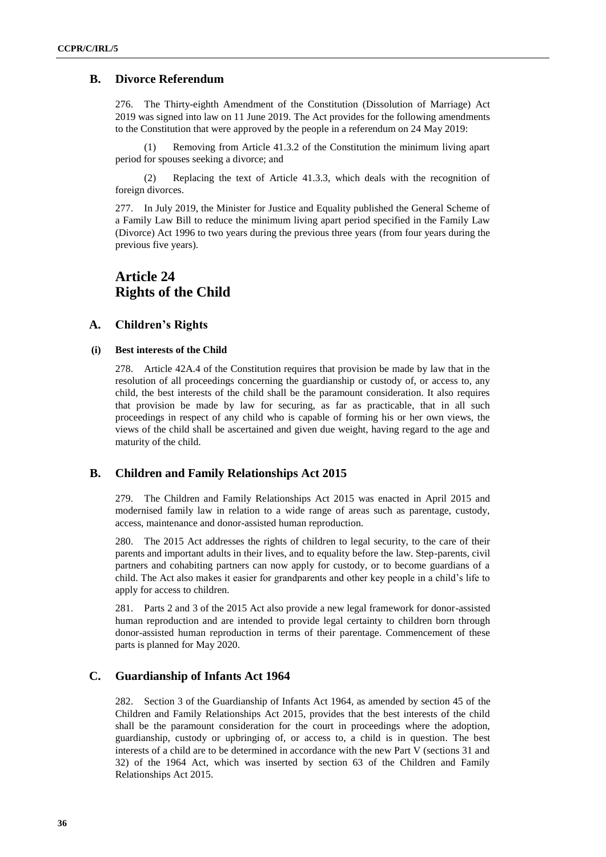## **B. Divorce Referendum**

276. The Thirty-eighth Amendment of the Constitution (Dissolution of Marriage) Act 2019 was signed into law on 11 June 2019. The Act provides for the following amendments to the Constitution that were approved by the people in a referendum on 24 May 2019:

(1) Removing from Article 41.3.2 of the Constitution the minimum living apart period for spouses seeking a divorce; and

(2) Replacing the text of Article 41.3.3, which deals with the recognition of foreign divorces.

277. In July 2019, the Minister for Justice and Equality published the General Scheme of a Family Law Bill to reduce the minimum living apart period specified in the Family Law (Divorce) Act 1996 to two years during the previous three years (from four years during the previous five years).

## **Article 24 Rights of the Child**

### **A. Children's Rights**

### **(i) Best interests of the Child**

278. Article 42A.4 of the Constitution requires that provision be made by law that in the resolution of all proceedings concerning the guardianship or custody of, or access to, any child, the best interests of the child shall be the paramount consideration. It also requires that provision be made by law for securing, as far as practicable, that in all such proceedings in respect of any child who is capable of forming his or her own views, the views of the child shall be ascertained and given due weight, having regard to the age and maturity of the child.

### **B. Children and Family Relationships Act 2015**

279. The Children and Family Relationships Act 2015 was enacted in April 2015 and modernised family law in relation to a wide range of areas such as parentage, custody, access, maintenance and donor-assisted human reproduction.

280. The 2015 Act addresses the rights of children to legal security, to the care of their parents and important adults in their lives, and to equality before the law. Step-parents, civil partners and cohabiting partners can now apply for custody, or to become guardians of a child. The Act also makes it easier for grandparents and other key people in a child's life to apply for access to children.

281. Parts 2 and 3 of the 2015 Act also provide a new legal framework for donor-assisted human reproduction and are intended to provide legal certainty to children born through donor-assisted human reproduction in terms of their parentage. Commencement of these parts is planned for May 2020.

## **C. Guardianship of Infants Act 1964**

282. Section 3 of the Guardianship of Infants Act 1964, as amended by section 45 of the Children and Family Relationships Act 2015, provides that the best interests of the child shall be the paramount consideration for the court in proceedings where the adoption, guardianship, custody or upbringing of, or access to, a child is in question. The best interests of a child are to be determined in accordance with the new Part V (sections 31 and 32) of the 1964 Act, which was inserted by section 63 of the Children and Family Relationships Act 2015.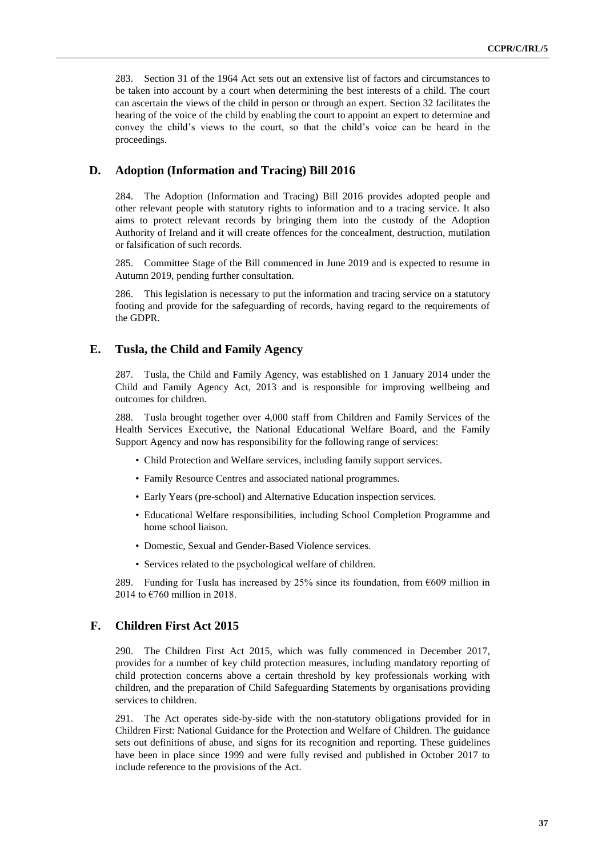283. Section 31 of the 1964 Act sets out an extensive list of factors and circumstances to be taken into account by a court when determining the best interests of a child. The court can ascertain the views of the child in person or through an expert. Section 32 facilitates the hearing of the voice of the child by enabling the court to appoint an expert to determine and convey the child's views to the court, so that the child's voice can be heard in the proceedings.

### **D. Adoption (Information and Tracing) Bill 2016**

284. The Adoption (Information and Tracing) Bill 2016 provides adopted people and other relevant people with statutory rights to information and to a tracing service. It also aims to protect relevant records by bringing them into the custody of the Adoption Authority of Ireland and it will create offences for the concealment, destruction, mutilation or falsification of such records.

285. Committee Stage of the Bill commenced in June 2019 and is expected to resume in Autumn 2019, pending further consultation.

286. This legislation is necessary to put the information and tracing service on a statutory footing and provide for the safeguarding of records, having regard to the requirements of the GDPR.

### **E. Tusla, the Child and Family Agency**

287. Tusla, the Child and Family Agency, was established on 1 January 2014 under the Child and Family Agency Act, 2013 and is responsible for improving wellbeing and outcomes for children.

288. Tusla brought together over 4,000 staff from Children and Family Services of the Health Services Executive, the National Educational Welfare Board, and the Family Support Agency and now has responsibility for the following range of services:

- Child Protection and Welfare services, including family support services.
- Family Resource Centres and associated national programmes.
- Early Years (pre-school) and Alternative Education inspection services.
- Educational Welfare responsibilities, including School Completion Programme and home school liaison.
- Domestic, Sexual and Gender-Based Violence services.
- Services related to the psychological welfare of children.

289. Funding for Tusla has increased by 25% since its foundation, from  $\epsilon$ 609 million in 2014 to €760 million in 2018.

#### **F. Children First Act 2015**

290. The Children First Act 2015, which was fully commenced in December 2017, provides for a number of key child protection measures, including mandatory reporting of child protection concerns above a certain threshold by key professionals working with children, and the preparation of Child Safeguarding Statements by organisations providing services to children.

291. The Act operates side-by-side with the non-statutory obligations provided for in Children First: National Guidance for the Protection and Welfare of Children. The guidance sets out definitions of abuse, and signs for its recognition and reporting. These guidelines have been in place since 1999 and were fully revised and published in October 2017 to include reference to the provisions of the Act.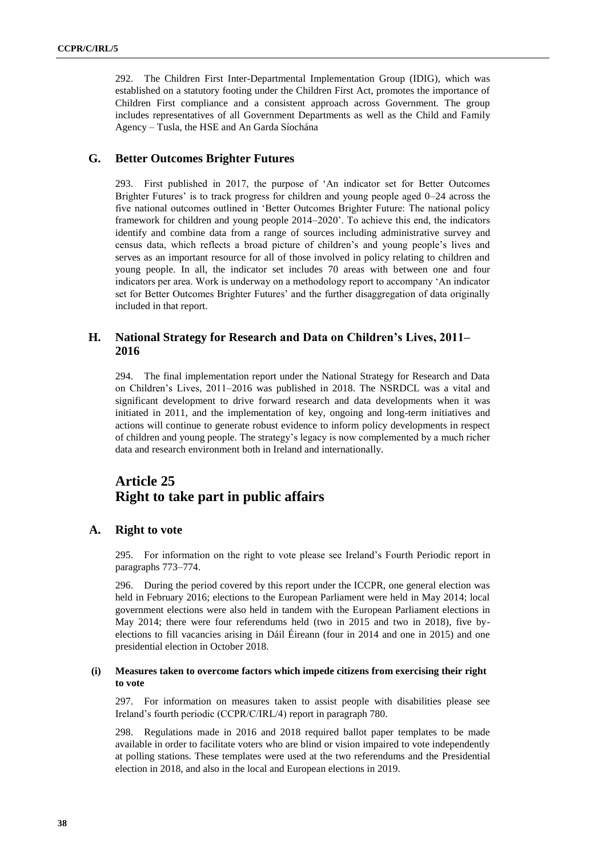292. The Children First Inter-Departmental Implementation Group (IDIG), which was established on a statutory footing under the Children First Act, promotes the importance of Children First compliance and a consistent approach across Government. The group includes representatives of all Government Departments as well as the Child and Family Agency – Tusla, the HSE and An Garda Síochána

## **G. Better Outcomes Brighter Futures**

293. First published in 2017, the purpose of 'An indicator set for Better Outcomes Brighter Futures' is to track progress for children and young people aged 0–24 across the five national outcomes outlined in 'Better Outcomes Brighter Future: The national policy framework for children and young people 2014–2020'. To achieve this end, the indicators identify and combine data from a range of sources including administrative survey and census data, which reflects a broad picture of children's and young people's lives and serves as an important resource for all of those involved in policy relating to children and young people. In all, the indicator set includes 70 areas with between one and four indicators per area. Work is underway on a methodology report to accompany 'An indicator set for Better Outcomes Brighter Futures' and the further disaggregation of data originally included in that report.

## **H. National Strategy for Research and Data on Children's Lives, 2011– 2016**

294. The final implementation report under the National Strategy for Research and Data on Children's Lives, 2011–2016 was published in 2018. The NSRDCL was a vital and significant development to drive forward research and data developments when it was initiated in 2011, and the implementation of key, ongoing and long-term initiatives and actions will continue to generate robust evidence to inform policy developments in respect of children and young people. The strategy's legacy is now complemented by a much richer data and research environment both in Ireland and internationally.

## **Article 25 Right to take part in public affairs**

### **A. Right to vote**

295. For information on the right to vote please see Ireland's Fourth Periodic report in paragraphs 773–774.

296. During the period covered by this report under the ICCPR, one general election was held in February 2016; elections to the European Parliament were held in May 2014; local government elections were also held in tandem with the European Parliament elections in May 2014; there were four referendums held (two in 2015 and two in 2018), five byelections to fill vacancies arising in Dáil Éireann (four in 2014 and one in 2015) and one presidential election in October 2018.

#### **(i) Measures taken to overcome factors which impede citizens from exercising their right to vote**

297. For information on measures taken to assist people with disabilities please see Ireland's fourth periodic (CCPR/C/IRL/4) report in paragraph 780.

298. Regulations made in 2016 and 2018 required ballot paper templates to be made available in order to facilitate voters who are blind or vision impaired to vote independently at polling stations. These templates were used at the two referendums and the Presidential election in 2018, and also in the local and European elections in 2019.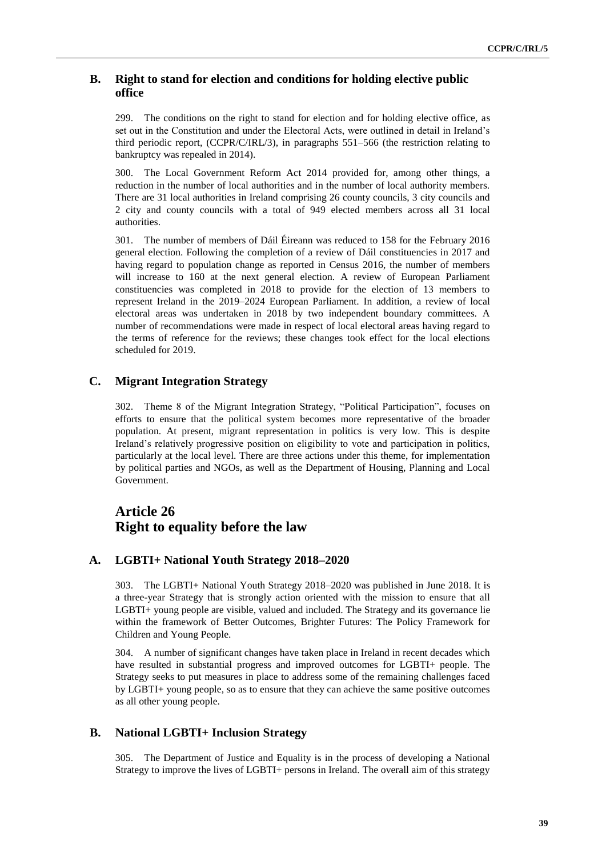## **B. Right to stand for election and conditions for holding elective public office**

299. The conditions on the right to stand for election and for holding elective office, as set out in the Constitution and under the Electoral Acts, were outlined in detail in Ireland's third periodic report, (CCPR/C/IRL/3), in paragraphs 551–566 (the restriction relating to bankruptcy was repealed in 2014).

300. The Local Government Reform Act 2014 provided for, among other things, a reduction in the number of local authorities and in the number of local authority members. There are 31 local authorities in Ireland comprising 26 county councils, 3 city councils and 2 city and county councils with a total of 949 elected members across all 31 local authorities.

301. The number of members of Dáil Éireann was reduced to 158 for the February 2016 general election. Following the completion of a review of Dáil constituencies in 2017 and having regard to population change as reported in Census 2016, the number of members will increase to 160 at the next general election. A review of European Parliament constituencies was completed in 2018 to provide for the election of 13 members to represent Ireland in the 2019–2024 European Parliament. In addition, a review of local electoral areas was undertaken in 2018 by two independent boundary committees. A number of recommendations were made in respect of local electoral areas having regard to the terms of reference for the reviews; these changes took effect for the local elections scheduled for 2019.

## **C. Migrant Integration Strategy**

302. Theme 8 of the Migrant Integration Strategy, "Political Participation", focuses on efforts to ensure that the political system becomes more representative of the broader population. At present, migrant representation in politics is very low. This is despite Ireland's relatively progressive position on eligibility to vote and participation in politics, particularly at the local level. There are three actions under this theme, for implementation by political parties and NGOs, as well as the Department of Housing, Planning and Local Government.

## **Article 26 Right to equality before the law**

## **A. LGBTI+ National Youth Strategy 2018–2020**

303. The LGBTI+ National Youth Strategy 2018–2020 was published in June 2018. It is a three-year Strategy that is strongly action oriented with the mission to ensure that all LGBTI+ young people are visible, valued and included. The Strategy and its governance lie within the framework of Better Outcomes, Brighter Futures: The Policy Framework for Children and Young People.

304. A number of significant changes have taken place in Ireland in recent decades which have resulted in substantial progress and improved outcomes for LGBTI+ people. The Strategy seeks to put measures in place to address some of the remaining challenges faced by LGBTI+ young people, so as to ensure that they can achieve the same positive outcomes as all other young people.

## **B. National LGBTI+ Inclusion Strategy**

305. The Department of Justice and Equality is in the process of developing a National Strategy to improve the lives of LGBTI+ persons in Ireland. The overall aim of this strategy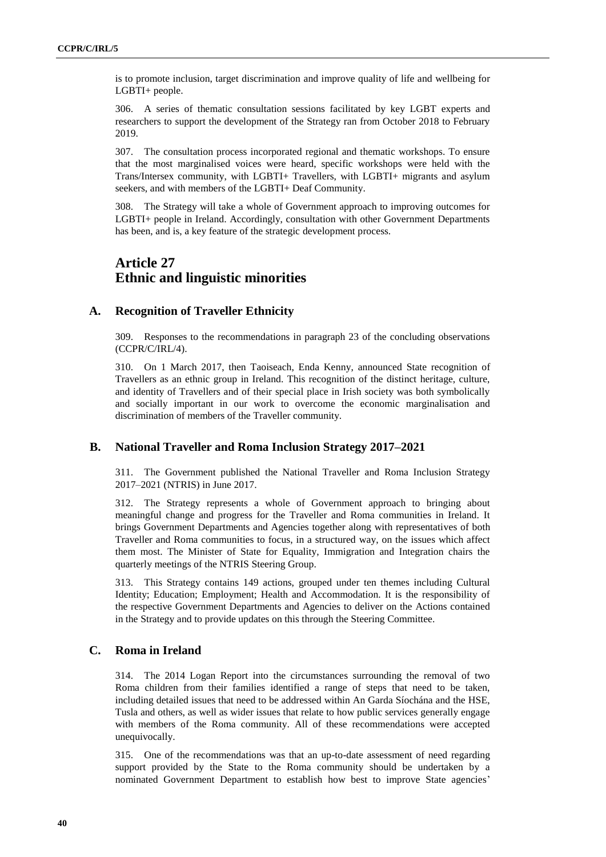is to promote inclusion, target discrimination and improve quality of life and wellbeing for LGBTI+ people.

306. A series of thematic consultation sessions facilitated by key LGBT experts and researchers to support the development of the Strategy ran from October 2018 to February 2019.

307. The consultation process incorporated regional and thematic workshops. To ensure that the most marginalised voices were heard, specific workshops were held with the Trans/Intersex community, with LGBTI+ Travellers, with LGBTI+ migrants and asylum seekers, and with members of the LGBTI+ Deaf Community.

308. The Strategy will take a whole of Government approach to improving outcomes for LGBTI+ people in Ireland. Accordingly, consultation with other Government Departments has been, and is, a key feature of the strategic development process.

## **Article 27 Ethnic and linguistic minorities**

### **A. Recognition of Traveller Ethnicity**

309. Responses to the recommendations in paragraph 23 of the concluding observations (CCPR/C/IRL/4).

310. On 1 March 2017, then Taoiseach, Enda Kenny, announced State recognition of Travellers as an ethnic group in Ireland. This recognition of the distinct heritage, culture, and identity of Travellers and of their special place in Irish society was both symbolically and socially important in our work to overcome the economic marginalisation and discrimination of members of the Traveller community.

### **B. National Traveller and Roma Inclusion Strategy 2017–2021**

311. The Government published the National Traveller and Roma Inclusion Strategy 2017–2021 (NTRIS) in June 2017.

312. The Strategy represents a whole of Government approach to bringing about meaningful change and progress for the Traveller and Roma communities in Ireland. It brings Government Departments and Agencies together along with representatives of both Traveller and Roma communities to focus, in a structured way, on the issues which affect them most. The Minister of State for Equality, Immigration and Integration chairs the quarterly meetings of the NTRIS Steering Group.

313. This Strategy contains 149 actions, grouped under ten themes including Cultural Identity; Education; Employment; Health and Accommodation. It is the responsibility of the respective Government Departments and Agencies to deliver on the Actions contained in the Strategy and to provide updates on this through the Steering Committee.

### **C. Roma in Ireland**

314. The 2014 Logan Report into the circumstances surrounding the removal of two Roma children from their families identified a range of steps that need to be taken, including detailed issues that need to be addressed within An Garda Síochána and the HSE, Tusla and others, as well as wider issues that relate to how public services generally engage with members of the Roma community. All of these recommendations were accepted unequivocally.

315. One of the recommendations was that an up-to-date assessment of need regarding support provided by the State to the Roma community should be undertaken by a nominated Government Department to establish how best to improve State agencies'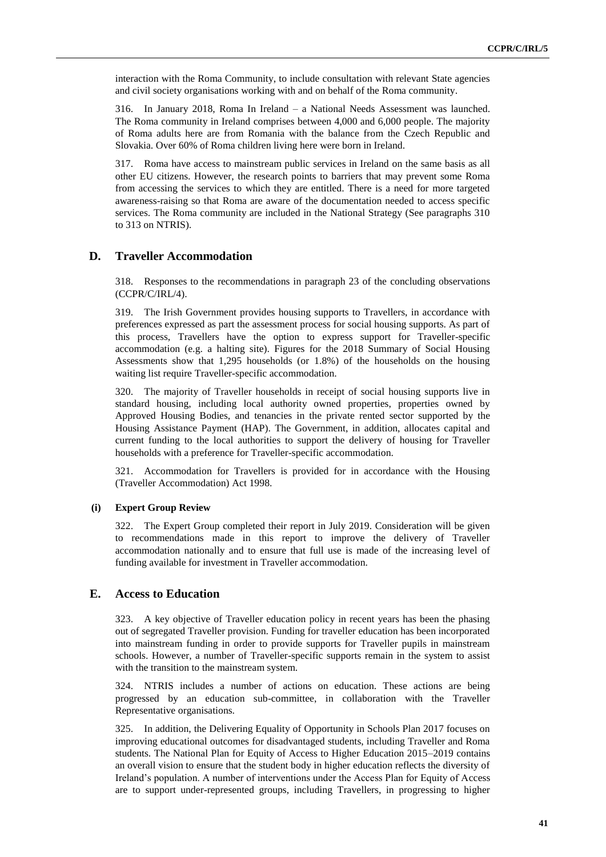interaction with the Roma Community, to include consultation with relevant State agencies and civil society organisations working with and on behalf of the Roma community.

316. In January 2018, Roma In Ireland – a National Needs Assessment was launched. The Roma community in Ireland comprises between 4,000 and 6,000 people. The majority of Roma adults here are from Romania with the balance from the Czech Republic and Slovakia. Over 60% of Roma children living here were born in Ireland.

317. Roma have access to mainstream public services in Ireland on the same basis as all other EU citizens. However, the research points to barriers that may prevent some Roma from accessing the services to which they are entitled. There is a need for more targeted awareness-raising so that Roma are aware of the documentation needed to access specific services. The Roma community are included in the National Strategy (See paragraphs 310 to 313 on NTRIS).

### **D. Traveller Accommodation**

318. Responses to the recommendations in paragraph 23 of the concluding observations (CCPR/C/IRL/4).

319. The Irish Government provides housing supports to Travellers, in accordance with preferences expressed as part the assessment process for social housing supports. As part of this process, Travellers have the option to express support for Traveller-specific accommodation (e.g. a halting site). Figures for the 2018 Summary of Social Housing Assessments show that 1,295 households (or 1.8%) of the households on the housing waiting list require Traveller-specific accommodation.

320. The majority of Traveller households in receipt of social housing supports live in standard housing, including local authority owned properties, properties owned by Approved Housing Bodies, and tenancies in the private rented sector supported by the Housing Assistance Payment (HAP). The Government, in addition, allocates capital and current funding to the local authorities to support the delivery of housing for Traveller households with a preference for Traveller-specific accommodation.

321. Accommodation for Travellers is provided for in accordance with the Housing (Traveller Accommodation) Act 1998.

#### **(i) Expert Group Review**

322. The Expert Group completed their report in July 2019. Consideration will be given to recommendations made in this report to improve the delivery of Traveller accommodation nationally and to ensure that full use is made of the increasing level of funding available for investment in Traveller accommodation.

#### **E. Access to Education**

323. A key objective of Traveller education policy in recent years has been the phasing out of segregated Traveller provision. Funding for traveller education has been incorporated into mainstream funding in order to provide supports for Traveller pupils in mainstream schools. However, a number of Traveller-specific supports remain in the system to assist with the transition to the mainstream system.

324. NTRIS includes a number of actions on education. These actions are being progressed by an education sub-committee, in collaboration with the Traveller Representative organisations.

325. In addition, the Delivering Equality of Opportunity in Schools Plan 2017 focuses on improving educational outcomes for disadvantaged students, including Traveller and Roma students. The National Plan for Equity of Access to Higher Education 2015–2019 contains an overall vision to ensure that the student body in higher education reflects the diversity of Ireland's population. A number of interventions under the Access Plan for Equity of Access are to support under-represented groups, including Travellers, in progressing to higher